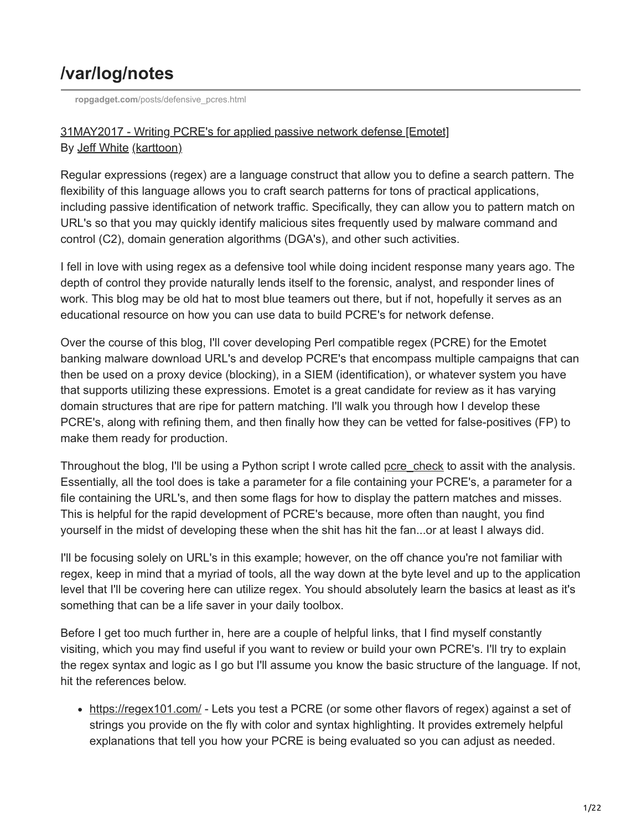# **/var/log/notes**

**ropgadget.com**[/posts/defensive\\_pcres.html](http://ropgadget.com/posts/defensive_pcres.html)

### [31MAY2017 - Writing PCRE's for applied passive network defense \[Emotet\]](http://ropgadget.com/posts/defensive_pcres.html) By [Jeff White](https://www.linkedin.com/in/jeff-white-459a6416/) [\(karttoon\)](https://twitter.com/noottrak)

Regular expressions (regex) are a language construct that allow you to define a search pattern. The flexibility of this language allows you to craft search patterns for tons of practical applications, including passive identification of network traffic. Specifically, they can allow you to pattern match on URL's so that you may quickly identify malicious sites frequently used by malware command and control (C2), domain generation algorithms (DGA's), and other such activities.

I fell in love with using regex as a defensive tool while doing incident response many years ago. The depth of control they provide naturally lends itself to the forensic, analyst, and responder lines of work. This blog may be old hat to most blue teamers out there, but if not, hopefully it serves as an educational resource on how you can use data to build PCRE's for network defense.

Over the course of this blog, I'll cover developing Perl compatible regex (PCRE) for the Emotet banking malware download URL's and develop PCRE's that encompass multiple campaigns that can then be used on a proxy device (blocking), in a SIEM (identification), or whatever system you have that supports utilizing these expressions. Emotet is a great candidate for review as it has varying domain structures that are ripe for pattern matching. I'll walk you through how I develop these PCRE's, along with refining them, and then finally how they can be vetted for false-positives (FP) to make them ready for production.

Throughout the blog, I'll be using a Python script I wrote called [pcre\\_check](https://github.com/karttoon/pcre_check/blob/master/pcre_check.py) to assit with the analysis. Essentially, all the tool does is take a parameter for a file containing your PCRE's, a parameter for a file containing the URL's, and then some flags for how to display the pattern matches and misses. This is helpful for the rapid development of PCRE's because, more often than naught, you find yourself in the midst of developing these when the shit has hit the fan...or at least I always did.

I'll be focusing solely on URL's in this example; however, on the off chance you're not familiar with regex, keep in mind that a myriad of tools, all the way down at the byte level and up to the application level that I'll be covering here can utilize regex. You should absolutely learn the basics at least as it's something that can be a life saver in your daily toolbox.

Before I get too much further in, here are a couple of helpful links, that I find myself constantly visiting, which you may find useful if you want to review or build your own PCRE's. I'll try to explain the regex syntax and logic as I go but I'll assume you know the basic structure of the language. If not, hit the references below.

• <https://regex101.com/>- Lets you test a PCRE (or some other flavors of regex) against a set of strings you provide on the fly with color and syntax highlighting. It provides extremely helpful explanations that tell you how your PCRE is being evaluated so you can adjust as needed.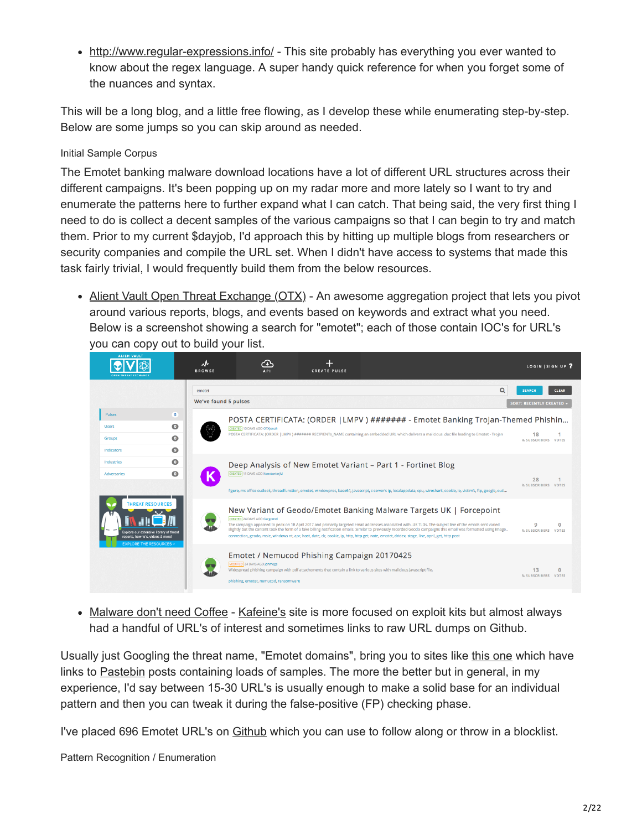• <http://www.regular-expressions.info/> - This site probably has everything you ever wanted to know about the regex language. A super handy quick reference for when you forget some of the nuances and syntax.

This will be a long blog, and a little free flowing, as I develop these while enumerating step-by-step. Below are some jumps so you can skip around as needed.

#### Initial Sample Corpus

The Emotet banking malware download locations have a lot of different URL structures across their different campaigns. It's been popping up on my radar more and more lately so I want to try and enumerate the patterns here to further expand what I can catch. That being said, the very first thing I need to do is collect a decent samples of the various campaigns so that I can begin to try and match them. Prior to my current \$dayjob, I'd approach this by hitting up multiple blogs from researchers or security companies and compile the URL set. When I didn't have access to systems that made this task fairly trivial, I would frequently build them from the below resources.

• [Alient Vault Open Threat Exchange \(OTX\)](https://otx.alienvault.com/browse/pulses/?q=emotet&sort=-created) - An awesome aggregation project that lets you pivot around various reports, blogs, and events based on keywords and extract what you need. Below is a screenshot showing a search for "emotet"; each of those contain IOC's for URL's you can copy out to build your list.



• [Malware don't need Coffee](http://malware.dontneedcoffee.com/) - [Kafeine's](https://twitter.com/kafeine) site is more focused on exploit kits but almost always had a handful of URL's of interest and sometimes links to raw URL dumps on Github.

Usually just Googling the threat name, "Emotet domains", bring you to sites like [this one](https://www.dodgethissecurity.com/2017/04/12/emotetgeodo-domains/) which have links to [Pastebin](https://pastebin.com/NQtg2TZc) posts containing loads of samples. The more the better but in general, in my experience, I'd say between 15-30 URL's is usually enough to make a solid base for an individual pattern and then you can tweak it during the false-positive (FP) checking phase.

I've placed 696 Emotet URL's on [Github](https://github.com/karttoon/pcre_check/blob/master/emotet_urls) which you can use to follow along or throw in a blocklist.

Pattern Recognition / Enumeration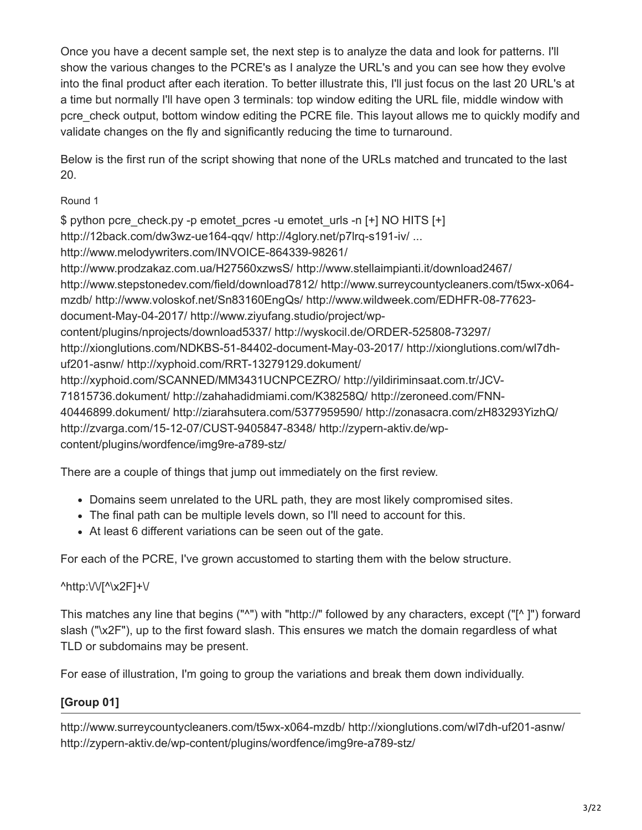Once you have a decent sample set, the next step is to analyze the data and look for patterns. I'll show the various changes to the PCRE's as I analyze the URL's and you can see how they evolve into the final product after each iteration. To better illustrate this, I'll just focus on the last 20 URL's at a time but normally I'll have open 3 terminals: top window editing the URL file, middle window with pcre\_check output, bottom window editing the PCRE file. This layout allows me to quickly modify and validate changes on the fly and significantly reducing the time to turnaround.

Below is the first run of the script showing that none of the URLs matched and truncated to the last 20.

### Round 1

\$ python pcre\_check.py -p emotet pcres -u emotet urls -n [+] NO HITS [+] http://12back.com/dw3wz-ue164-qqv/ http://4glory.net/p7lrq-s191-iv/ ... http://www.melodywriters.com/INVOICE-864339-98261/ http://www.prodzakaz.com.ua/H27560xzwsS/ http://www.stellaimpianti.it/download2467/ http://www.stepstonedev.com/field/download7812/ http://www.surreycountycleaners.com/t5wx-x064 mzdb/ http://www.voloskof.net/Sn83160EngQs/ http://www.wildweek.com/EDHFR-08-77623 document-May-04-2017/ http://www.ziyufang.studio/project/wpcontent/plugins/nprojects/download5337/ http://wyskocil.de/ORDER-525808-73297/ http://xionglutions.com/NDKBS-51-84402-document-May-03-2017/ http://xionglutions.com/wl7dhuf201-asnw/ http://xyphoid.com/RRT-13279129.dokument/ http://xyphoid.com/SCANNED/MM3431UCNPCEZRO/ http://yildiriminsaat.com.tr/JCV-71815736.dokument/ http://zahahadidmiami.com/K38258Q/ http://zeroneed.com/FNN-40446899.dokument/ http://ziarahsutera.com/5377959590/ http://zonasacra.com/zH83293YizhQ/ http://zvarga.com/15-12-07/CUST-9405847-8348/ http://zypern-aktiv.de/wpcontent/plugins/wordfence/img9re-a789-stz/

There are a couple of things that jump out immediately on the first review.

- Domains seem unrelated to the URL path, they are most likely compromised sites.
- The final path can be multiple levels down, so I'll need to account for this.
- At least 6 different variations can be seen out of the gate.

For each of the PCRE, I've grown accustomed to starting them with the below structure.

# $^\text{http://Vf'\x2F]+V}$

This matches any line that begins ("^") with "http://" followed by any characters, except ("[^ ]") forward slash ("\x2F"), up to the first foward slash. This ensures we match the domain regardless of what TLD or subdomains may be present.

For ease of illustration, I'm going to group the variations and break them down individually.

# **[Group 01]**

http://www.surreycountycleaners.com/t5wx-x064-mzdb/ http://xionglutions.com/wl7dh-uf201-asnw/ http://zypern-aktiv.de/wp-content/plugins/wordfence/img9re-a789-stz/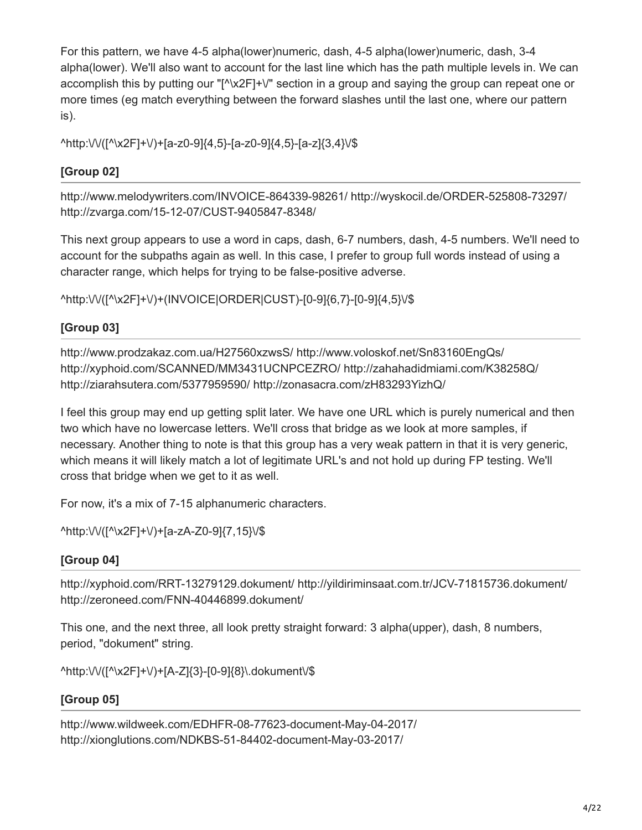For this pattern, we have 4-5 alpha(lower)numeric, dash, 4-5 alpha(lower)numeric, dash, 3-4 alpha(lower). We'll also want to account for the last line which has the path multiple levels in. We can accomplish this by putting our "[^\x2F]+\" section in a group and saying the group can repeat one or more times (eg match everything between the forward slashes until the last one, where our pattern is).

^http:\/\/([^\x2F]+\/)+[a-z0-9]{4,5}-[a-z0-9]{4,5}-[a-z]{3,4}\/\$

# **[Group 02]**

http://www.melodywriters.com/INVOICE-864339-98261/ http://wyskocil.de/ORDER-525808-73297/ http://zvarga.com/15-12-07/CUST-9405847-8348/

This next group appears to use a word in caps, dash, 6-7 numbers, dash, 4-5 numbers. We'll need to account for the subpaths again as well. In this case, I prefer to group full words instead of using a character range, which helps for trying to be false-positive adverse.

^http:\/\/([^\x2F]+\/)+(INVOICE|ORDER|CUST)-[0-9]{6,7}-[0-9]{4,5}\/\$

# **[Group 03]**

http://www.prodzakaz.com.ua/H27560xzwsS/ http://www.voloskof.net/Sn83160EngQs/ http://xyphoid.com/SCANNED/MM3431UCNPCEZRO/ http://zahahadidmiami.com/K38258Q/ http://ziarahsutera.com/5377959590/ http://zonasacra.com/zH83293YizhQ/

I feel this group may end up getting split later. We have one URL which is purely numerical and then two which have no lowercase letters. We'll cross that bridge as we look at more samples, if necessary. Another thing to note is that this group has a very weak pattern in that it is very generic, which means it will likely match a lot of legitimate URL's and not hold up during FP testing. We'll cross that bridge when we get to it as well.

For now, it's a mix of 7-15 alphanumeric characters.

^http:\/\/([^\x2F]+\/)+[a-zA-Z0-9]{7,15}\/\$

# **[Group 04]**

http://xyphoid.com/RRT-13279129.dokument/ http://yildiriminsaat.com.tr/JCV-71815736.dokument/ http://zeroneed.com/FNN-40446899.dokument/

This one, and the next three, all look pretty straight forward: 3 alpha(upper), dash, 8 numbers, period, "dokument" string.

^http:\/\/([^\x2F]+\/)+[A-Z]{3}-[0-9]{8}\.dokument\/\$

# **[Group 05]**

http://www.wildweek.com/EDHFR-08-77623-document-May-04-2017/ http://xionglutions.com/NDKBS-51-84402-document-May-03-2017/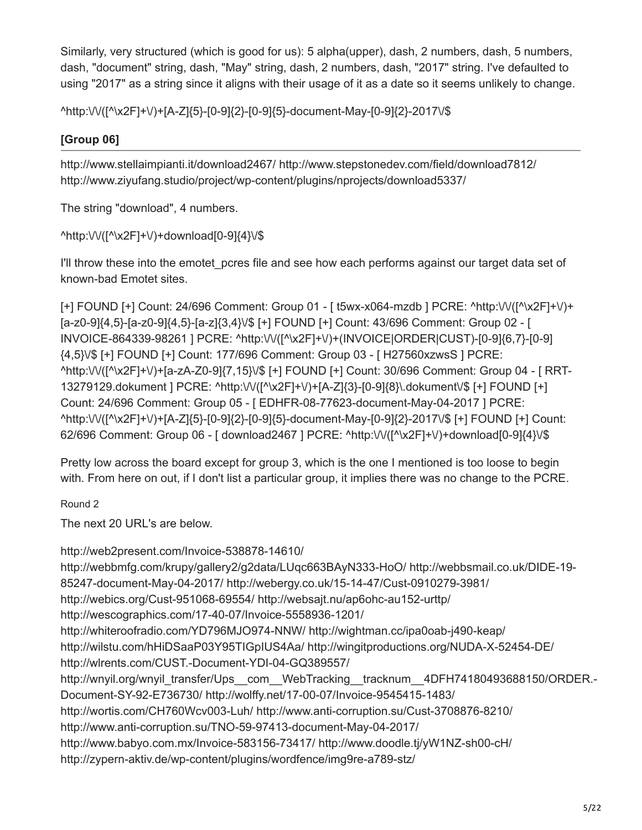Similarly, very structured (which is good for us): 5 alpha(upper), dash, 2 numbers, dash, 5 numbers, dash, "document" string, dash, "May" string, dash, 2 numbers, dash, "2017" string. I've defaulted to using "2017" as a string since it aligns with their usage of it as a date so it seems unlikely to change.

^http:\/\/([^\x2F]+\/)+[A-Z]{5}-[0-9]{2}-[0-9]{5}-document-May-[0-9]{2}-2017\/\$

# **[Group 06]**

http://www.stellaimpianti.it/download2467/ http://www.stepstonedev.com/field/download7812/ http://www.ziyufang.studio/project/wp-content/plugins/nprojects/download5337/

The string "download", 4 numbers.

^http:\/\/([^\x2F]+\/)+download[0-9]{4}\/\$

I'll throw these into the emotet pcres file and see how each performs against our target data set of known-bad Emotet sites.

[+] FOUND [+] Count: 24/696 Comment: Group 01 - [ t5wx-x064-mzdb ] PCRE: ^http:\/\/([^\x2F]+\/)+ [a-z0-9]{4,5}-[a-z0-9]{4,5}-[a-z]{3,4}\/\$ [+] FOUND [+] Count: 43/696 Comment: Group 02 - [ INVOICE-864339-98261 ] PCRE: ^http:\/\/([^\x2F]+\/)+(INVOICE|ORDER|CUST)-[0-9]{6,7}-[0-9] {4,5}\/\$ [+] FOUND [+] Count: 177/696 Comment: Group 03 - [ H27560xzwsS ] PCRE: ^http:\/\/([^\x2F]+\/)+[a-zA-Z0-9]{7,15}\/\$ [+] FOUND [+] Count: 30/696 Comment: Group 04 - [ RRT-13279129.dokument ] PCRE: ^http:\/\/([^\x2F]+\/)+[A-Z]{3}-[0-9]{8}\.dokument\/\$ [+] FOUND [+] Count: 24/696 Comment: Group 05 - [ EDHFR-08-77623-document-May-04-2017 ] PCRE: ^http:\/\/([^\x2F]+\/)+[A-Z]{5}-[0-9]{2}-[0-9]{5}-document-May-[0-9]{2}-2017\/\$ [+] FOUND [+] Count: 62/696 Comment: Group 06 - [ download2467 ] PCRE: ^http:\/\/([^\x2F]+\/)+download[0-9]{4}\/\$

Pretty low across the board except for group 3, which is the one I mentioned is too loose to begin with. From here on out, if I don't list a particular group, it implies there was no change to the PCRE.

Round 2

The next 20 URL's are below.

http://web2present.com/Invoice-538878-14610/ http://webbmfg.com/krupy/gallery2/g2data/LUqc663BAyN333-HoO/ http://webbsmail.co.uk/DIDE-19- 85247-document-May-04-2017/ http://webergy.co.uk/15-14-47/Cust-0910279-3981/ http://webics.org/Cust-951068-69554/ http://websajt.nu/ap6ohc-au152-urttp/ http://wescographics.com/17-40-07/Invoice-5558936-1201/ http://whiteroofradio.com/YD796MJO974-NNW/ http://wightman.cc/ipa0oab-j490-keap/ http://wilstu.com/hHiDSaaP03Y95TIGpIUS4Aa/ http://wingitproductions.org/NUDA-X-52454-DE/ http://wlrents.com/CUST.-Document-YDI-04-GQ389557/ http://wnyil.org/wnyil\_transfer/Ups\_com\_\_WebTracking\_\_tracknum\_\_4DFH74180493688150/ORDER.-Document-SY-92-E736730/ http://wolffy.net/17-00-07/Invoice-9545415-1483/ http://wortis.com/CH760Wcv003-Luh/ http://www.anti-corruption.su/Cust-3708876-8210/ http://www.anti-corruption.su/TNO-59-97413-document-May-04-2017/ http://www.babyo.com.mx/Invoice-583156-73417/ http://www.doodle.tj/yW1NZ-sh00-cH/ http://zypern-aktiv.de/wp-content/plugins/wordfence/img9re-a789-stz/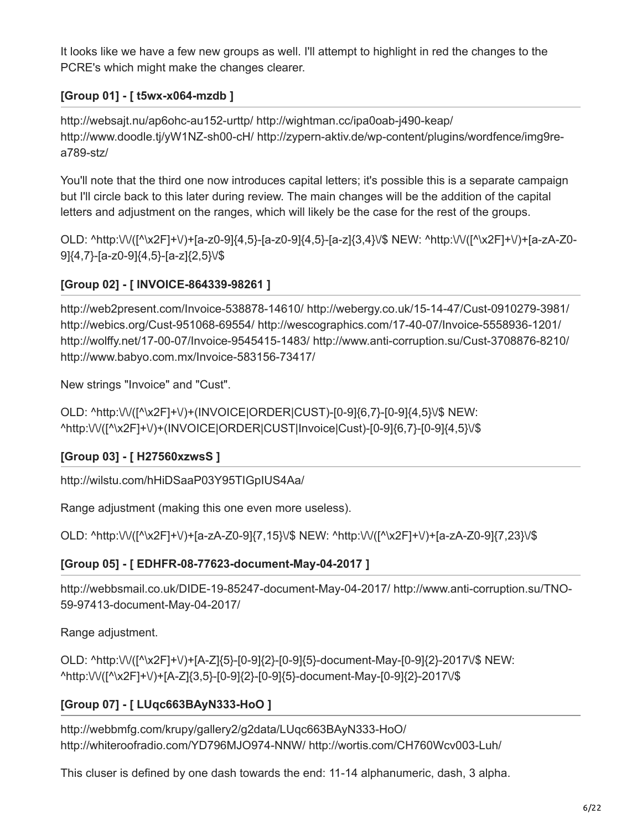It looks like we have a few new groups as well. I'll attempt to highlight in red the changes to the PCRE's which might make the changes clearer.

### **[Group 01] - [ t5wx-x064-mzdb ]**

http://websajt.nu/ap6ohc-au152-urttp/ http://wightman.cc/ipa0oab-j490-keap/ http://www.doodle.tj/yW1NZ-sh00-cH/ http://zypern-aktiv.de/wp-content/plugins/wordfence/img9rea789-stz/

You'll note that the third one now introduces capital letters; it's possible this is a separate campaign but I'll circle back to this later during review. The main changes will be the addition of the capital letters and adjustment on the ranges, which will likely be the case for the rest of the groups.

OLD: ^http:\/\/([^\x2F]+\/)+[a-z0-9]{4,5}-[a-z0-9]{4,5}-[a-z]{3,4}\/\$ NEW: ^http:\/\/([^\x2F]+\/)+[a-zA-Z0- 9]{4,7}-[a-z0-9]{4,5}-[a-z]{2,5}\/\$

### **[Group 02] - [ INVOICE-864339-98261 ]**

http://web2present.com/Invoice-538878-14610/ http://webergy.co.uk/15-14-47/Cust-0910279-3981/ http://webics.org/Cust-951068-69554/ http://wescographics.com/17-40-07/Invoice-5558936-1201/ http://wolffy.net/17-00-07/Invoice-9545415-1483/ http://www.anti-corruption.su/Cust-3708876-8210/ http://www.babyo.com.mx/Invoice-583156-73417/

New strings "Invoice" and "Cust".

OLD: ^http:\/\/([^\x2F]+\/)+(INVOICE|ORDER|CUST)-[0-9]{6,7}-[0-9]{4,5}\/\$ NEW: ^http:\/\/([^\x2F]+\/)+(INVOICE|ORDER|CUST|Invoice|Cust)-[0-9]{6,7}-[0-9]{4,5}\/\$

# **[Group 03] - [ H27560xzwsS ]**

http://wilstu.com/hHiDSaaP03Y95TIGpIUS4Aa/

Range adjustment (making this one even more useless).

OLD: ^http:\/\/([^\x2F]+\/)+[a-zA-Z0-9]{7,15}\/\$ NEW: ^http:\/\/([^\x2F]+\/)+[a-zA-Z0-9]{7,23}\/\$

# **[Group 05] - [ EDHFR-08-77623-document-May-04-2017 ]**

http://webbsmail.co.uk/DIDE-19-85247-document-May-04-2017/ http://www.anti-corruption.su/TNO-59-97413-document-May-04-2017/

Range adjustment.

OLD: ^http:\/\/([^\x2F]+\/)+[A-Z]{5}-[0-9]{2}-[0-9]{5}-document-May-[0-9]{2}-2017\/\$ NEW: ^http:\/\/([^\x2F]+\/)+[A-Z]{3,5}-[0-9]{2}-[0-9]{5}-document-May-[0-9]{2}-2017\/\$

# **[Group 07] - [ LUqc663BAyN333-HoO ]**

http://webbmfg.com/krupy/gallery2/g2data/LUqc663BAyN333-HoO/ http://whiteroofradio.com/YD796MJO974-NNW/ http://wortis.com/CH760Wcv003-Luh/

This cluser is defined by one dash towards the end: 11-14 alphanumeric, dash, 3 alpha.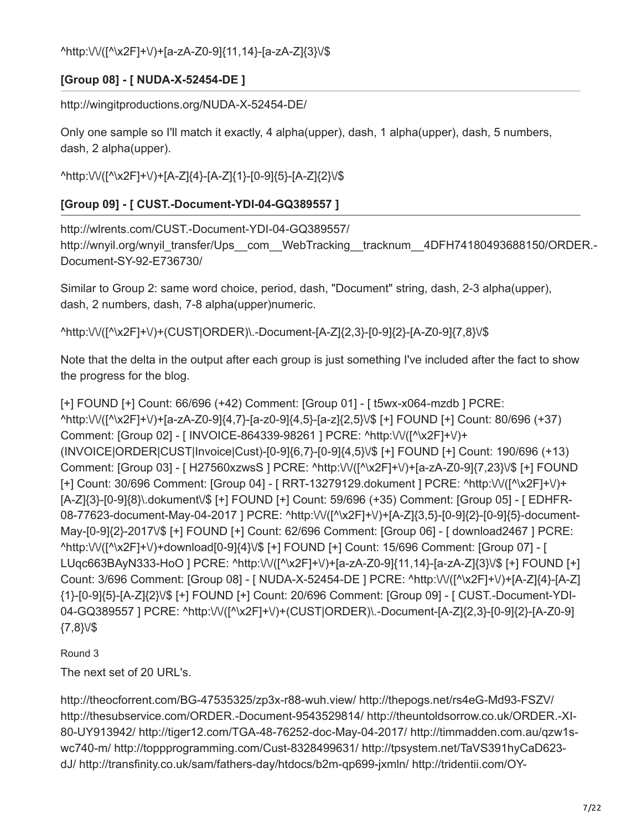^http:\/\/([^\x2F]+\/)+[a-zA-Z0-9]{11,14}-[a-zA-Z]{3}\/\$

# **[Group 08] - [ NUDA-X-52454-DE ]**

http://wingitproductions.org/NUDA-X-52454-DE/

Only one sample so I'll match it exactly, 4 alpha(upper), dash, 1 alpha(upper), dash, 5 numbers, dash, 2 alpha(upper).

^http:\/\/([^\x2F]+\/)+[A-Z]{4}-[A-Z]{1}-[0-9]{5}-[A-Z]{2}\/\$

# **[Group 09] - [ CUST.-Document-YDI-04-GQ389557 ]**

http://wlrents.com/CUST.-Document-YDI-04-GQ389557/ http://wnyil.org/wnyil\_transfer/Ups\_\_com\_\_WebTracking\_\_tracknum\_\_4DFH74180493688150/ORDER.-Document-SY-92-E736730/

Similar to Group 2: same word choice, period, dash, "Document" string, dash, 2-3 alpha(upper), dash, 2 numbers, dash, 7-8 alpha(upper)numeric.

^http:\/\/([^\x2F]+\/)+(CUST|ORDER)\.-Document-[A-Z]{2,3}-[0-9]{2}-[A-Z0-9]{7,8}\/\$

Note that the delta in the output after each group is just something I've included after the fact to show the progress for the blog.

[+] FOUND [+] Count: 66/696 (+42) Comment: [Group 01] - [ t5wx-x064-mzdb ] PCRE: ^http:\/\/([^\x2F]+\/)+[a-zA-Z0-9]{4,7}-[a-z0-9]{4,5}-[a-z]{2,5}\/\$ [+] FOUND [+] Count: 80/696 (+37) Comment: [Group 02] - [ INVOICE-864339-98261 ] PCRE: ^http:\/\/([^\x2F]+\/)+ (INVOICE|ORDER|CUST|Invoice|Cust)-[0-9]{6,7}-[0-9]{4,5}\/\$ [+] FOUND [+] Count: 190/696 (+13) Comment: [Group 03] - [ H27560xzwsS ] PCRE: ^http:\/\/([^\x2F]+\/)+[a-zA-Z0-9]{7,23}\/\$ [+] FOUND [+] Count: 30/696 Comment: [Group 04] - [ RRT-13279129.dokument ] PCRE: ^http:\/\/([^\x2F]+\/)+ [A-Z]{3}-[0-9]{8}\.dokument\/\$ [+] FOUND [+] Count: 59/696 (+35) Comment: [Group 05] - [ EDHFR-08-77623-document-May-04-2017 ] PCRE: ^http:\/\/([^\x2F]+\/)+[A-Z]{3,5}-[0-9]{2}-[0-9]{5}-document-May-[0-9]{2}-2017\/\$ [+] FOUND [+] Count: 62/696 Comment: [Group 06] - [ download2467 ] PCRE: ^http:\/\/([^\x2F]+\/)+download[0-9]{4}\/\$ [+] FOUND [+] Count: 15/696 Comment: [Group 07] - [ LUqc663BAyN333-HoO ] PCRE: ^http:\/\/([^\x2F]+\/)+[a-zA-Z0-9]{11,14}-[a-zA-Z]{3}\/\$ [+] FOUND [+] Count: 3/696 Comment: [Group 08] - [ NUDA-X-52454-DE ] PCRE: ^http:\/\/([^\x2F]+\/)+[A-Z]{4}-[A-Z] {1}-[0-9]{5}-[A-Z]{2}\/\$ [+] FOUND [+] Count: 20/696 Comment: [Group 09] - [ CUST.-Document-YDI-04-GQ389557 ] PCRE: ^http:\/\/([^\x2F]+\/)+(CUST|ORDER)\.-Document-[A-Z]{2,3}-[0-9]{2}-[A-Z0-9] {7,8}\/\$

Round 3

The next set of 20 URL's.

http://theocforrent.com/BG-47535325/zp3x-r88-wuh.view/ http://thepogs.net/rs4eG-Md93-FSZV/ http://thesubservice.com/ORDER.-Document-9543529814/ http://theuntoldsorrow.co.uk/ORDER.-XI-80-UY913942/ http://tiger12.com/TGA-48-76252-doc-May-04-2017/ http://timmadden.com.au/qzw1swc740-m/ http://toppprogramming.com/Cust-8328499631/ http://tpsystem.net/TaVS391hyCaD623 dJ/ http://transfinity.co.uk/sam/fathers-day/htdocs/b2m-qp699-jxmln/ http://tridentii.com/OY-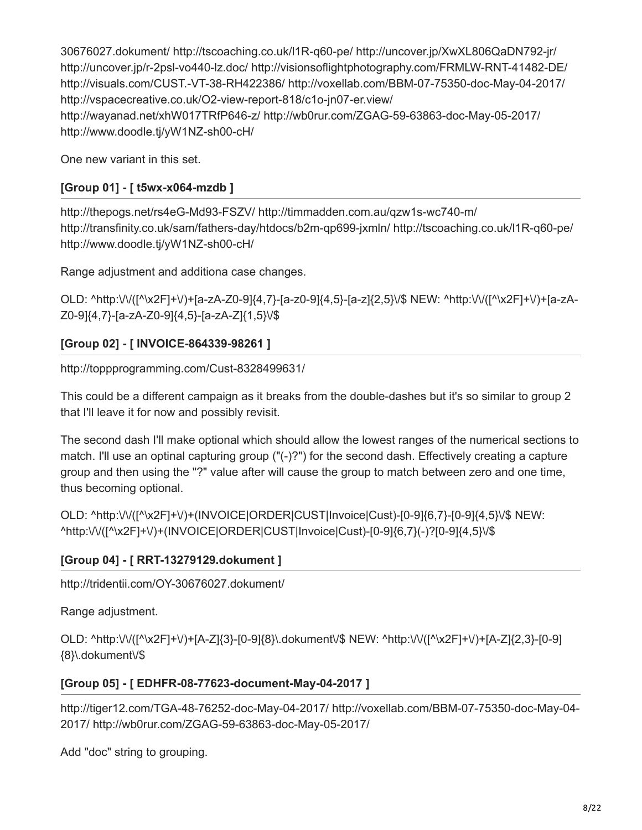30676027.dokument/ http://tscoaching.co.uk/l1R-q60-pe/ http://uncover.jp/XwXL806QaDN792-jr/ http://uncover.jp/r-2psl-vo440-lz.doc/ http://visionsoflightphotography.com/FRMLW-RNT-41482-DE/ http://visuals.com/CUST.-VT-38-RH422386/ http://voxellab.com/BBM-07-75350-doc-May-04-2017/ http://vspacecreative.co.uk/O2-view-report-818/c1o-jn07-er.view/ http://wayanad.net/xhW017TRfP646-z/ http://wb0rur.com/ZGAG-59-63863-doc-May-05-2017/ http://www.doodle.tj/yW1NZ-sh00-cH/

One new variant in this set.

### **[Group 01] - [ t5wx-x064-mzdb ]**

http://thepogs.net/rs4eG-Md93-FSZV/ http://timmadden.com.au/qzw1s-wc740-m/ http://transfinity.co.uk/sam/fathers-day/htdocs/b2m-qp699-jxmln/ http://tscoaching.co.uk/l1R-q60-pe/ http://www.doodle.tj/yW1NZ-sh00-cH/

Range adjustment and additiona case changes.

OLD: ^http:\/\/([^\x2F]+\/)+[a-zA-Z0-9]{4,7}-[a-z0-9]{4,5}-[a-z]{2,5}\/\$ NEW: ^http:\/\/([^\x2F]+\/)+[a-zA-Z0-9]{4,7}-[a-zA-Z0-9]{4,5}-[a-zA-Z]{1,5}\/\$

### **[Group 02] - [ INVOICE-864339-98261 ]**

http://toppprogramming.com/Cust-8328499631/

This could be a different campaign as it breaks from the double-dashes but it's so similar to group 2 that I'll leave it for now and possibly revisit.

The second dash I'll make optional which should allow the lowest ranges of the numerical sections to match. I'll use an optinal capturing group ("(-)?") for the second dash. Effectively creating a capture group and then using the "?" value after will cause the group to match between zero and one time, thus becoming optional.

OLD: ^http:\/\/([^\x2F]+\/)+(INVOICE|ORDER|CUST|Invoice|Cust)-[0-9]{6,7}-[0-9]{4,5}\/\$ NEW: ^http:\/\/([^\x2F]+\/)+(INVOICE|ORDER|CUST|Invoice|Cust)-[0-9]{6,7}(-)?[0-9]{4,5}\/\$

### **[Group 04] - [ RRT-13279129.dokument ]**

http://tridentii.com/OY-30676027.dokument/

Range adjustment.

OLD: ^http:\/\/([^\x2F]+\/)+[A-Z]{3}-[0-9]{8}\.dokument\/\$ NEW: ^http:\/\/([^\x2F]+\/)+[A-Z]{2,3}-[0-9] {8}\.dokument\/\$

### **[Group 05] - [ EDHFR-08-77623-document-May-04-2017 ]**

http://tiger12.com/TGA-48-76252-doc-May-04-2017/ http://voxellab.com/BBM-07-75350-doc-May-04- 2017/ http://wb0rur.com/ZGAG-59-63863-doc-May-05-2017/

Add "doc" string to grouping.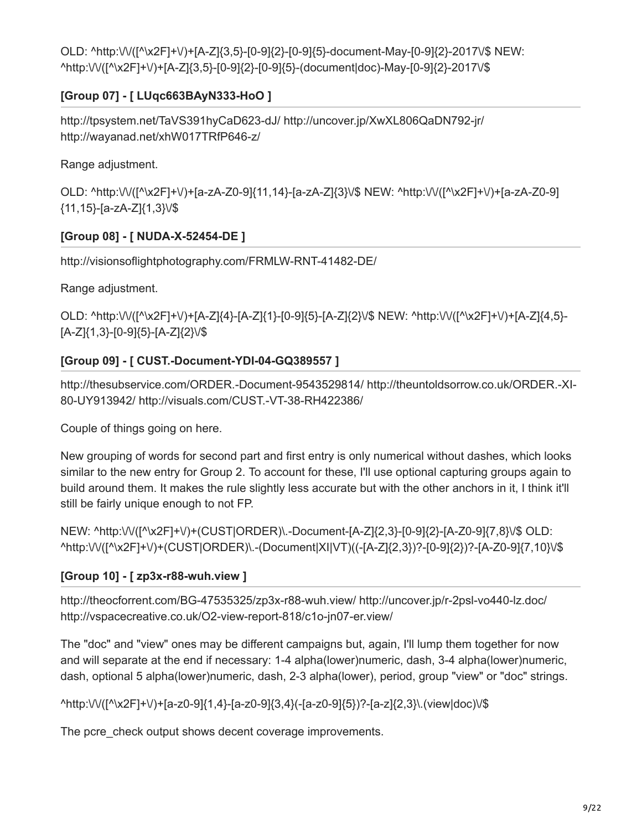OLD: ^http:\/\/([^\x2F]+\/)+[A-Z]{3,5}-[0-9]{2}-[0-9]{5}-document-May-[0-9]{2}-2017\/\$ NEW: ^http:\/\/([^\x2F]+\/)+[A-Z]{3,5}-[0-9]{2}-[0-9]{5}-(document|doc)-May-[0-9]{2}-2017\/\$

# **[Group 07] - [ LUqc663BAyN333-HoO ]**

http://tpsystem.net/TaVS391hyCaD623-dJ/ http://uncover.jp/XwXL806QaDN792-jr/ http://wayanad.net/xhW017TRfP646-z/

Range adjustment.

OLD: ^http:\/\/([^\x2F]+\/)+[a-zA-Z0-9]{11,14}-[a-zA-Z]{3}\/\$ NEW: ^http:\/\/([^\x2F]+\/)+[a-zA-Z0-9] {11,15}-[a-zA-Z]{1,3}\/\$

# **[Group 08] - [ NUDA-X-52454-DE ]**

http://visionsoflightphotography.com/FRMLW-RNT-41482-DE/

Range adjustment.

OLD: ^http:\/\/([^\x2F]+\/)+[A-Z]{4}-[A-Z]{1}-[0-9]{5}-[A-Z]{2}\/\$ NEW: ^http:\/\/([^\x2F]+\/)+[A-Z]{4,5}- [A-Z]{1,3}-[0-9]{5}-[A-Z]{2}\/\$

# **[Group 09] - [ CUST.-Document-YDI-04-GQ389557 ]**

http://thesubservice.com/ORDER.-Document-9543529814/ http://theuntoldsorrow.co.uk/ORDER.-XI-80-UY913942/ http://visuals.com/CUST.-VT-38-RH422386/

Couple of things going on here.

New grouping of words for second part and first entry is only numerical without dashes, which looks similar to the new entry for Group 2. To account for these, I'll use optional capturing groups again to build around them. It makes the rule slightly less accurate but with the other anchors in it, I think it'll still be fairly unique enough to not FP.

NEW: ^http:\/\/([^\x2F]+\/)+(CUST|ORDER)\.-Document-[A-Z]{2,3}-[0-9]{2}-[A-Z0-9]{7,8}\/\$ OLD: ^http:\/\/([^\x2F]+\/)+(CUST|ORDER)\.-(Document|XI|VT)((-[A-Z]{2,3})?-[0-9]{2})?-[A-Z0-9]{7,10}\/\$

# **[Group 10] - [ zp3x-r88-wuh.view ]**

http://theocforrent.com/BG-47535325/zp3x-r88-wuh.view/ http://uncover.jp/r-2psl-vo440-lz.doc/ http://vspacecreative.co.uk/O2-view-report-818/c1o-jn07-er.view/

The "doc" and "view" ones may be different campaigns but, again, I'll lump them together for now and will separate at the end if necessary: 1-4 alpha(lower)numeric, dash, 3-4 alpha(lower)numeric, dash, optional 5 alpha(lower)numeric, dash, 2-3 alpha(lower), period, group "view" or "doc" strings.

^http:\/\/([^\x2F]+\/)+[a-z0-9]{1,4}-[a-z0-9]{3,4}(-[a-z0-9]{5})?-[a-z]{2,3}\.(view|doc)\/\$

The pcre\_check output shows decent coverage improvements.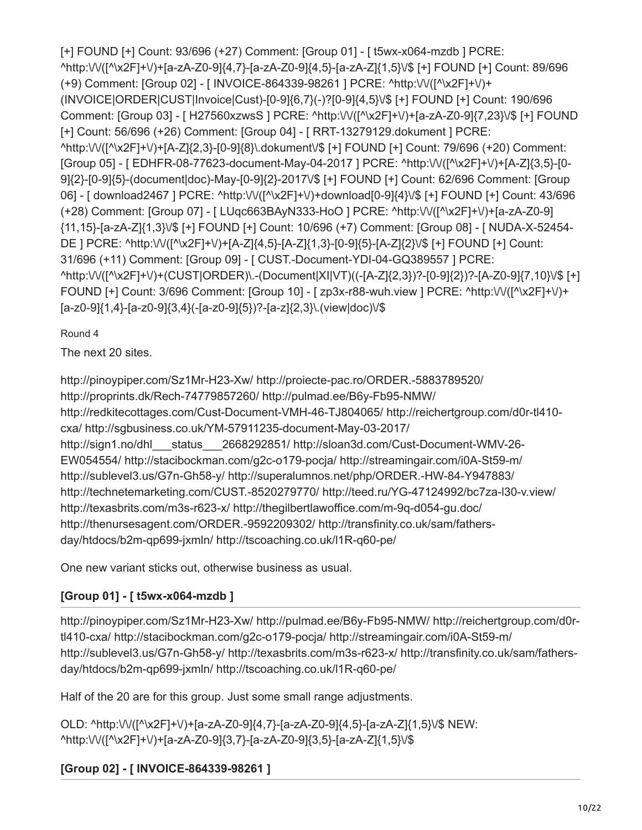[+] FOUND [+] Count: 93/696 (+27) Comment: [Group 01] - [ t5wx-x064-mzdb ] PCRE: ^http:\/\/([^\x2F]+\/)+[a-zA-Z0-9]{4,7}-[a-zA-Z0-9]{4,5}-[a-zA-Z]{1,5}\/\$ [+] FOUND [+] Count: 89/696 (+9) Comment: [Group 02] - [ INVOICE-864339-98261 ] PCRE: ^http:\/\/([^\x2F]+\/)+ (INVOICE|ORDER|CUST|Invoice|Cust)-[0-9]{6,7}(-)?[0-9]{4,5}\/\$ [+] FOUND [+] Count: 190/696 Comment: [Group 03] - [ H27560xzwsS ] PCRE: ^http:\/\/([^\x2F]+\/)+[a-zA-Z0-9]{7,23}\/\$ [+] FOUND [+] Count: 56/696 (+26) Comment: [Group 04] - [ RRT-13279129.dokument ] PCRE: ^http:\/\/([^\x2F]+\/)+[A-Z]{2,3}-[0-9]{8}\.dokument\/\$ [+] FOUND [+] Count: 79/696 (+20) Comment: [Group 05] - [ EDHFR-08-77623-document-May-04-2017 ] PCRE: ^http:\/\/([^\x2F]+\/)+[A-Z]{3,5}-[0- 9]{2}-[0-9]{5}-(document|doc)-May-[0-9]{2}-2017\/\$ [+] FOUND [+] Count: 62/696 Comment: [Group 06] - [ download2467 ] PCRE: ^http:\/\/([^\x2F]+\/)+download[0-9]{4}\/\$ [+] FOUND [+] Count: 43/696 (+28) Comment: [Group 07] - [ LUqc663BAyN333-HoO ] PCRE: ^http:\/\/([^\x2F]+\/)+[a-zA-Z0-9] {11,15}-[a-zA-Z]{1,3}\/\$ [+] FOUND [+] Count: 10/696 (+7) Comment: [Group 08] - [ NUDA-X-52454- DE ] PCRE: ^http:\/\/([^\x2F]+\/)+[A-Z]{4,5}-[A-Z]{1,3}-[0-9]{5}-[A-Z]{2}\/\$ [+] FOUND [+] Count: 31/696 (+11) Comment: [Group 09] - [ CUST.-Document-YDI-04-GQ389557 ] PCRE: ^http:\/\/([^\x2F]+\/)+(CUST|ORDER)\.-(Document|XI|VT)((-[A-Z]{2,3})?-[0-9]{2})?-[A-Z0-9]{7,10}\/\$ [+] FOUND [+] Count: 3/696 Comment: [Group 10] - [ zp3x-r88-wuh.view ] PCRE: ^http:\/\/([^\x2F]+\/)+ [a-z0-9]{1,4}-[a-z0-9]{3,4}(-[a-z0-9]{5})?-[a-z]{2,3}\.(view|doc)\/\$

Round 4

The next 20 sites.

http://pinoypiper.com/Sz1Mr-H23-Xw/ http://proiecte-pac.ro/ORDER.-5883789520/ http://proprints.dk/Rech-74779857260/ http://pulmad.ee/B6y-Fb95-NMW/ http://redkitecottages.com/Cust-Document-VMH-46-TJ804065/ http://reichertgroup.com/d0r-tl410 cxa/ http://sgbusiness.co.uk/YM-57911235-document-May-03-2017/ http://sign1.no/dhl status 2668292851/ http://sloan3d.com/Cust-Document-WMV-26-EW054554/ http://stacibockman.com/g2c-o179-pocja/ http://streamingair.com/i0A-St59-m/ http://sublevel3.us/G7n-Gh58-y/ http://superalumnos.net/php/ORDER.-HW-84-Y947883/ http://technetemarketing.com/CUST.-8520279770/ http://teed.ru/YG-47124992/bc7za-l30-v.view/ http://texasbrits.com/m3s-r623-x/ http://thegilbertlawoffice.com/m-9q-d054-gu.doc/ http://thenursesagent.com/ORDER.-9592209302/ http://transfinity.co.uk/sam/fathersday/htdocs/b2m-qp699-jxmln/ http://tscoaching.co.uk/l1R-q60-pe/

One new variant sticks out, otherwise business as usual.

# **[Group 01] - [ t5wx-x064-mzdb ]**

http://pinoypiper.com/Sz1Mr-H23-Xw/ http://pulmad.ee/B6y-Fb95-NMW/ http://reichertgroup.com/d0rtl410-cxa/ http://stacibockman.com/g2c-o179-pocja/ http://streamingair.com/i0A-St59-m/ http://sublevel3.us/G7n-Gh58-y/ http://texasbrits.com/m3s-r623-x/ http://transfinity.co.uk/sam/fathersday/htdocs/b2m-qp699-jxmln/ http://tscoaching.co.uk/l1R-q60-pe/

Half of the 20 are for this group. Just some small range adjustments.

OLD: ^http:\/\/([^\x2F]+\/)+[a-zA-Z0-9]{4,7}-[a-zA-Z0-9]{4,5}-[a-zA-Z]{1,5}\/\$ NEW: ^http:\/\/([^\x2F]+\/)+[a-zA-Z0-9]{3,7}-[a-zA-Z0-9]{3,5}-[a-zA-Z]{1,5}\/\$

**[Group 02] - [ INVOICE-864339-98261 ]**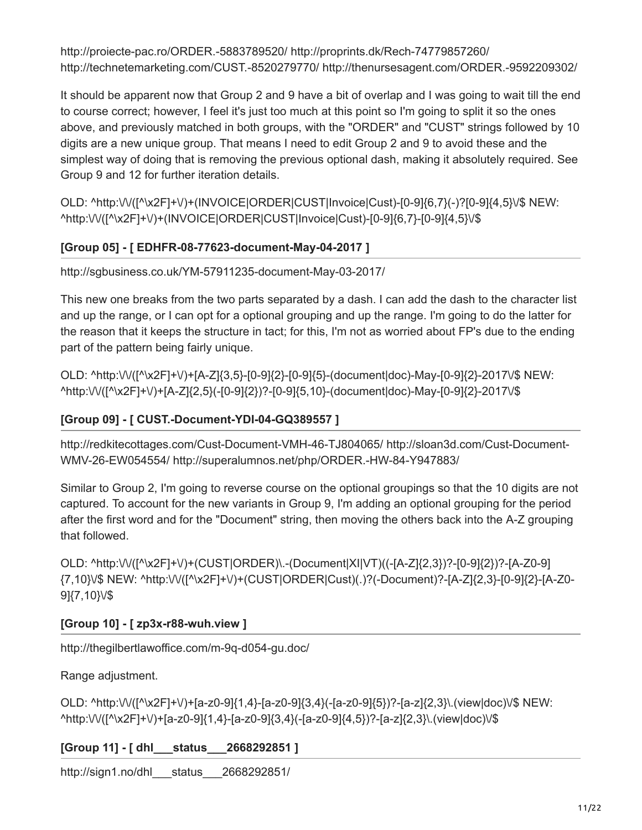http://proiecte-pac.ro/ORDER.-5883789520/ http://proprints.dk/Rech-74779857260/ http://technetemarketing.com/CUST.-8520279770/ http://thenursesagent.com/ORDER.-9592209302/

It should be apparent now that Group 2 and 9 have a bit of overlap and I was going to wait till the end to course correct; however, I feel it's just too much at this point so I'm going to split it so the ones above, and previously matched in both groups, with the "ORDER" and "CUST" strings followed by 10 digits are a new unique group. That means I need to edit Group 2 and 9 to avoid these and the simplest way of doing that is removing the previous optional dash, making it absolutely required. See Group 9 and 12 for further iteration details.

OLD: ^http:\/\/([^\x2F]+\/)+(INVOICE|ORDER|CUST|Invoice|Cust)-[0-9]{6,7}(-)?[0-9]{4,5}\/\$ NEW: ^http:\/\/([^\x2F]+\/)+(INVOICE|ORDER|CUST|Invoice|Cust)-[0-9]{6,7}-[0-9]{4,5}\/\$

### **[Group 05] - [ EDHFR-08-77623-document-May-04-2017 ]**

http://sgbusiness.co.uk/YM-57911235-document-May-03-2017/

This new one breaks from the two parts separated by a dash. I can add the dash to the character list and up the range, or I can opt for a optional grouping and up the range. I'm going to do the latter for the reason that it keeps the structure in tact; for this, I'm not as worried about FP's due to the ending part of the pattern being fairly unique.

OLD: ^http:\/\/([^\x2F]+\/)+[A-Z]{3,5}-[0-9]{2}-[0-9]{5}-(document|doc)-May-[0-9]{2}-2017\/\$ NEW: ^http:\/\/([^\x2F]+\/)+[A-Z]{2,5}(-[0-9]{2})?-[0-9]{5,10}-(document|doc)-May-[0-9]{2}-2017\/\$

### **[Group 09] - [ CUST.-Document-YDI-04-GQ389557 ]**

http://redkitecottages.com/Cust-Document-VMH-46-TJ804065/ http://sloan3d.com/Cust-Document-WMV-26-EW054554/ http://superalumnos.net/php/ORDER.-HW-84-Y947883/

Similar to Group 2, I'm going to reverse course on the optional groupings so that the 10 digits are not captured. To account for the new variants in Group 9, I'm adding an optional grouping for the period after the first word and for the "Document" string, then moving the others back into the A-Z grouping that followed.

OLD: ^http:\/\/([^\x2F]+\/)+(CUST|ORDER)\.-(Document|XI|VT)((-[A-Z]{2,3})?-[0-9]{2})?-[A-Z0-9] {7,10}\/\$ NEW: ^http:\/\/([^\x2F]+\/)+(CUST|ORDER|Cust)(.)?(-Document)?-[A-Z]{2,3}-[0-9]{2}-[A-Z0- 9]{7,10}\/\$

### **[Group 10] - [ zp3x-r88-wuh.view ]**

http://thegilbertlawoffice.com/m-9q-d054-gu.doc/

Range adjustment.

OLD: ^http:\/\/([^\x2F]+\/)+[a-z0-9]{1,4}-[a-z0-9]{3,4}(-[a-z0-9]{5})?-[a-z]{2,3}\.(view|doc)\/\$ NEW: ^http:\/\/([^\x2F]+\/)+[a-z0-9]{1,4}-[a-z0-9]{3,4}(-[a-z0-9]{4,5})?-[a-z]{2,3}\.(view|doc)\/\$

#### **[Group 11] - [ dhl\_\_\_status\_\_\_2668292851 ]**

http://sign1.no/dhl\_\_\_status\_\_\_2668292851/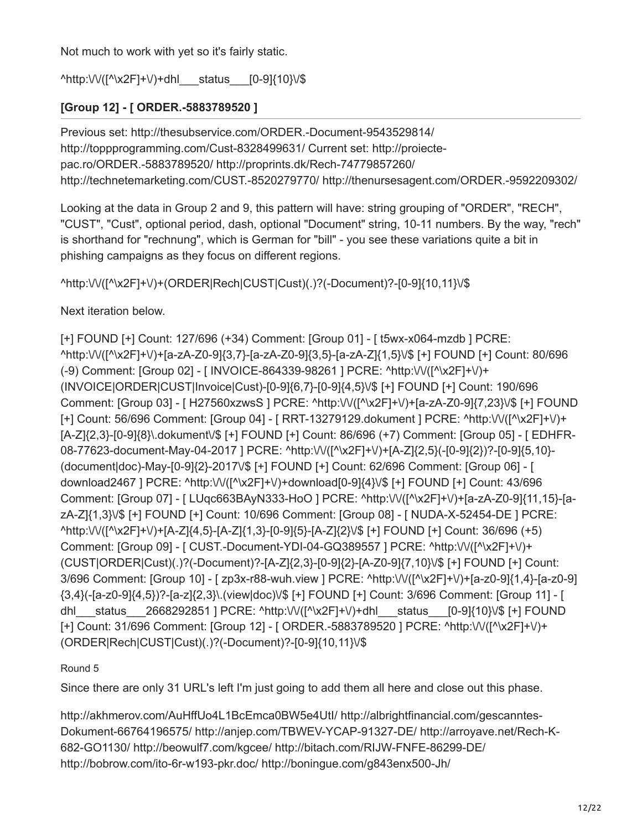Not much to work with yet so it's fairly static.

^http:\/\/([^\x2F]+\/)+dhl status [0-9]{10}\/\$

# **[Group 12] - [ ORDER.-5883789520 ]**

Previous set: http://thesubservice.com/ORDER.-Document-9543529814/ http://toppprogramming.com/Cust-8328499631/ Current set: http://proiectepac.ro/ORDER.-5883789520/ http://proprints.dk/Rech-74779857260/ http://technetemarketing.com/CUST.-8520279770/ http://thenursesagent.com/ORDER.-9592209302/

Looking at the data in Group 2 and 9, this pattern will have: string grouping of "ORDER", "RECH", "CUST", "Cust", optional period, dash, optional "Document" string, 10-11 numbers. By the way, "rech" is shorthand for "rechnung", which is German for "bill" - you see these variations quite a bit in phishing campaigns as they focus on different regions.

^http:\/\/([^\x2F]+\/)+(ORDER|Rech|CUST|Cust)(.)?(-Document)?-[0-9]{10,11}\/\$

Next iteration below.

[+] FOUND [+] Count: 127/696 (+34) Comment: [Group 01] - [ t5wx-x064-mzdb ] PCRE: ^http:\/\/([^\x2F]+\/)+[a-zA-Z0-9]{3,7}-[a-zA-Z0-9]{3,5}-[a-zA-Z]{1,5}\/\$ [+] FOUND [+] Count: 80/696 (-9) Comment: [Group 02] - [ INVOICE-864339-98261 ] PCRE: ^http:\/\/([^\x2F]+\/)+ (INVOICE|ORDER|CUST|Invoice|Cust)-[0-9]{6,7}-[0-9]{4,5}\/\$ [+] FOUND [+] Count: 190/696 Comment: [Group 03] - [ H27560xzwsS ] PCRE: ^http:\/\/([^\x2F]+\/)+[a-zA-Z0-9]{7,23}\/\$ [+] FOUND [+] Count: 56/696 Comment: [Group 04] - [ RRT-13279129.dokument ] PCRE: ^http:\/\/([^\x2F]+\/)+ [A-Z]{2,3}-[0-9]{8}\.dokument\/\$ [+] FOUND [+] Count: 86/696 (+7) Comment: [Group 05] - [ EDHFR-08-77623-document-May-04-2017 ] PCRE: ^http:\/\/([^\x2F]+\/)+[A-Z]{2,5}(-[0-9]{2})?-[0-9]{5,10}- (document|doc)-May-[0-9]{2}-2017\/\$ [+] FOUND [+] Count: 62/696 Comment: [Group 06] - [ download2467 ] PCRE: ^http:\/\/([^\x2F]+\/)+download[0-9]{4}\/\$ [+] FOUND [+] Count: 43/696 Comment: [Group 07] - [ LUqc663BAyN333-HoO ] PCRE: ^http:\/\/([^\x2F]+\/)+[a-zA-Z0-9]{11,15}-[azA-Z]{1,3}\/\$ [+] FOUND [+] Count: 10/696 Comment: [Group 08] - [ NUDA-X-52454-DE ] PCRE: ^http:\/\/([^\x2F]+\/)+[A-Z]{4,5}-[A-Z]{1,3}-[0-9]{5}-[A-Z]{2}\/\$ [+] FOUND [+] Count: 36/696 (+5) Comment: [Group 09] - [ CUST.-Document-YDI-04-GQ389557 ] PCRE: ^http:\/\/([^\x2F]+\/)+ (CUST|ORDER|Cust)(.)?(-Document)?-[A-Z]{2,3}-[0-9]{2}-[A-Z0-9]{7,10}\/\$ [+] FOUND [+] Count: 3/696 Comment: [Group 10] - [ zp3x-r88-wuh.view ] PCRE: ^http:\/\/([^\x2F]+\/)+[a-z0-9]{1,4}-[a-z0-9] {3,4}(-[a-z0-9]{4,5})?-[a-z]{2,3}\.(view|doc)\/\$ [+] FOUND [+] Count: 3/696 Comment: [Group 11] - [ dhl\_\_\_status\_\_\_2668292851 ] PCRE: ^http:\/\/([^\x2F]+\/)+dhl\_\_\_status\_\_\_[0-9]{10}\/\$ [+] FOUND [+] Count: 31/696 Comment: [Group 12] - [ ORDER.-5883789520 ] PCRE: ^http:\/\/([^\x2F]+\/)+ (ORDER|Rech|CUST|Cust)(.)?(-Document)?-[0-9]{10,11}\/\$

### Round 5

Since there are only 31 URL's left I'm just going to add them all here and close out this phase.

http://akhmerov.com/AuHffUo4L1BcEmca0BW5e4UtI/ http://albrightfinancial.com/gescanntes-Dokument-66764196575/ http://anjep.com/TBWEV-YCAP-91327-DE/ http://arroyave.net/Rech-K-682-GO1130/ http://beowulf7.com/kgcee/ http://bitach.com/RIJW-FNFE-86299-DE/ http://bobrow.com/ito-6r-w193-pkr.doc/ http://boningue.com/g843enx500-Jh/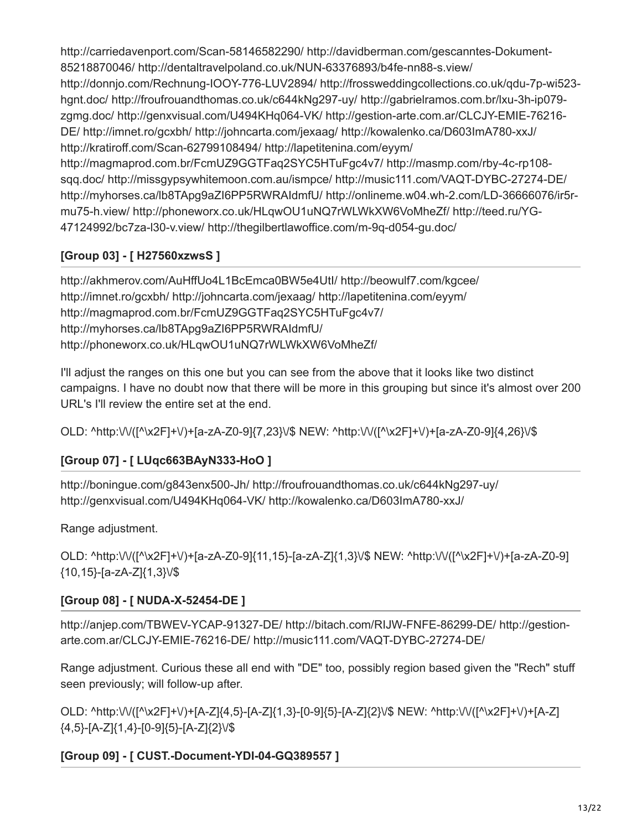http://carriedavenport.com/Scan-58146582290/ http://davidberman.com/gescanntes-Dokument-85218870046/ http://dentaltravelpoland.co.uk/NUN-63376893/b4fe-nn88-s.view/ http://donnjo.com/Rechnung-IOOY-776-LUV2894/ http://frossweddingcollections.co.uk/qdu-7p-wi523 hgnt.doc/ http://froufrouandthomas.co.uk/c644kNg297-uy/ http://gabrielramos.com.br/lxu-3h-ip079 zgmg.doc/ http://genxvisual.com/U494KHq064-VK/ http://gestion-arte.com.ar/CLCJY-EMIE-76216- DE/ http://imnet.ro/gcxbh/ http://johncarta.com/jexaag/ http://kowalenko.ca/D603ImA780-xxJ/ http://kratiroff.com/Scan-62799108494/ http://lapetitenina.com/eyym/ http://magmaprod.com.br/FcmUZ9GGTFaq2SYC5HTuFgc4v7/ http://masmp.com/rby-4c-rp108 sqq.doc/ http://missgypsywhitemoon.com.au/ismpce/ http://music111.com/VAQT-DYBC-27274-DE/ http://myhorses.ca/lb8TApg9aZI6PP5RWRAIdmfU/ http://onlineme.w04.wh-2.com/LD-36666076/ir5rmu75-h.view/ http://phoneworx.co.uk/HLqwOU1uNQ7rWLWkXW6VoMheZf/ http://teed.ru/YG-47124992/bc7za-l30-v.view/ http://thegilbertlawoffice.com/m-9q-d054-gu.doc/

# **[Group 03] - [ H27560xzwsS ]**

http://akhmerov.com/AuHffUo4L1BcEmca0BW5e4UtI/ http://beowulf7.com/kgcee/ http://imnet.ro/gcxbh/ http://johncarta.com/jexaag/ http://lapetitenina.com/eyym/ http://magmaprod.com.br/FcmUZ9GGTFaq2SYC5HTuFgc4v7/ http://myhorses.ca/lb8TApg9aZI6PP5RWRAIdmfU/ http://phoneworx.co.uk/HLqwOU1uNQ7rWLWkXW6VoMheZf/

I'll adjust the ranges on this one but you can see from the above that it looks like two distinct campaigns. I have no doubt now that there will be more in this grouping but since it's almost over 200 URL's I'll review the entire set at the end.

OLD: ^http:\/\/([^\x2F]+\/)+[a-zA-Z0-9]{7,23}\/\$ NEW: ^http:\/\/([^\x2F]+\/)+[a-zA-Z0-9]{4,26}\/\$

# **[Group 07] - [ LUqc663BAyN333-HoO ]**

http://boningue.com/g843enx500-Jh/ http://froufrouandthomas.co.uk/c644kNg297-uy/ http://genxvisual.com/U494KHq064-VK/ http://kowalenko.ca/D603ImA780-xxJ/

Range adjustment.

OLD: ^http:\/\/([^\x2F]+\/)+[a-zA-Z0-9]{11,15}-[a-zA-Z]{1,3}\/\$ NEW: ^http:\/\/([^\x2F]+\/)+[a-zA-Z0-9] {10,15}-[a-zA-Z]{1,3}\/\$

# **[Group 08] - [ NUDA-X-52454-DE ]**

http://anjep.com/TBWEV-YCAP-91327-DE/ http://bitach.com/RIJW-FNFE-86299-DE/ http://gestionarte.com.ar/CLCJY-EMIE-76216-DE/ http://music111.com/VAQT-DYBC-27274-DE/

Range adjustment. Curious these all end with "DE" too, possibly region based given the "Rech" stuff seen previously; will follow-up after.

OLD: ^http:\/\/([^\x2F]+\/)+[A-Z]{4,5}-[A-Z]{1,3}-[0-9]{5}-[A-Z]{2}\/\$ NEW: ^http:\/\/([^\x2F]+\/)+[A-Z] {4,5}-[A-Z]{1,4}-[0-9]{5}-[A-Z]{2}\/\$

# **[Group 09] - [ CUST.-Document-YDI-04-GQ389557 ]**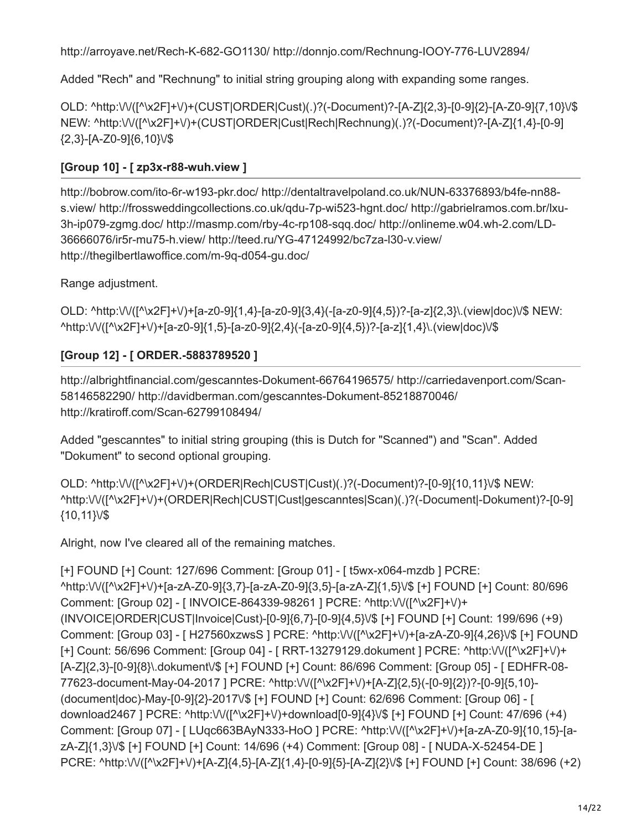http://arroyave.net/Rech-K-682-GO1130/ http://donnjo.com/Rechnung-IOOY-776-LUV2894/

Added "Rech" and "Rechnung" to initial string grouping along with expanding some ranges.

OLD: ^http:\/\/([^\x2F]+\/)+(CUST|ORDER|Cust)(.)?(-Document)?-[A-Z]{2,3}-[0-9]{2}-[A-Z0-9]{7,10}\/\$ NEW: ^http:\/\/([^\x2F]+\/)+(CUST|ORDER|Cust|Rech|Rechnung)(.)?(-Document)?-[A-Z]{1,4}-[0-9] {2,3}-[A-Z0-9]{6,10}\/\$

# **[Group 10] - [ zp3x-r88-wuh.view ]**

http://bobrow.com/ito-6r-w193-pkr.doc/ http://dentaltravelpoland.co.uk/NUN-63376893/b4fe-nn88 s.view/ http://frossweddingcollections.co.uk/qdu-7p-wi523-hgnt.doc/ http://gabrielramos.com.br/lxu-3h-ip079-zgmg.doc/ http://masmp.com/rby-4c-rp108-sqq.doc/ http://onlineme.w04.wh-2.com/LD-36666076/ir5r-mu75-h.view/ http://teed.ru/YG-47124992/bc7za-l30-v.view/ http://thegilbertlawoffice.com/m-9q-d054-gu.doc/

Range adjustment.

OLD: ^http:\/\/([^\x2F]+\/)+[a-z0-9]{1,4}-[a-z0-9]{3,4}(-[a-z0-9]{4,5})?-[a-z]{2,3}\.(view|doc)\/\$ NEW: ^http:\/\/([^\x2F]+\/)+[a-z0-9]{1,5}-[a-z0-9]{2,4}(-[a-z0-9]{4,5})?-[a-z]{1,4}\.(view|doc)\/\$

# **[Group 12] - [ ORDER.-5883789520 ]**

http://albrightfinancial.com/gescanntes-Dokument-66764196575/ http://carriedavenport.com/Scan-58146582290/ http://davidberman.com/gescanntes-Dokument-85218870046/ http://kratiroff.com/Scan-62799108494/

Added "gescanntes" to initial string grouping (this is Dutch for "Scanned") and "Scan". Added "Dokument" to second optional grouping.

OLD: ^http:\/\/([^\x2F]+\/)+(ORDER|Rech|CUST|Cust)(.)?(-Document)?-[0-9]{10,11}\/\$ NEW: ^http:\/\/([^\x2F]+\/)+(ORDER|Rech|CUST|Cust|gescanntes|Scan)(.)?(-Document|-Dokument)?-[0-9] {10,11}\/\$

Alright, now I've cleared all of the remaining matches.

```
[+] FOUND [+] Count: 127/696 Comment: [Group 01] - [ t5wx-x064-mzdb ] PCRE:
^http:\/\/([^\x2F]+\/)+[a-zA-Z0-9]{3,7}-[a-zA-Z0-9]{3,5}-[a-zA-Z]{1,5}\/$ [+] FOUND [+] Count: 80/696
Comment: [Group 02] - [ INVOICE-864339-98261 ] PCRE: ^http:\/\/([^\x2F]+\/)+
(INVOICE|ORDER|CUST|Invoice|Cust)-[0-9]{6,7}-[0-9]{4,5}\/$ [+] FOUND [+] Count: 199/696 (+9)
Comment: [Group 03] - [ H27560xzwsS ] PCRE: ^http:\/\/([^\x2F]+\/)+[a-zA-Z0-9]{4,26}\/$ [+] FOUND
[+] Count: 56/696 Comment: [Group 04] - [ RRT-13279129.dokument ] PCRE: ^http:\/\/([^\x2F]+\/)+
[A-Z]{2,3}-[0-9]{8}\.dokument\/$ [+] FOUND [+] Count: 86/696 Comment: [Group 05] - [ EDHFR-08-
77623-document-May-04-2017 ] PCRE: ^http:\/\/([^\x2F]+\/)+[A-Z]{2,5}(-[0-9]{2})?-[0-9]{5,10}-
(document|doc)-May-[0-9]{2}-2017\/$ [+] FOUND [+] Count: 62/696 Comment: [Group 06] - [
download2467 ] PCRE: ^http:\/\/([^\x2F]+\/)+download[0-9]{4}\/$ [+] FOUND [+] Count: 47/696 (+4)
Comment: [Group 07] - [ LUqc663BAyN333-HoO ] PCRE: ^http:\/\/([^\x2F]+\/)+[a-zA-Z0-9]{10,15}-[a-
zA-Z]{1,3}\/$ [+] FOUND [+] Count: 14/696 (+4) Comment: [Group 08] - [ NUDA-X-52454-DE ]
PCRE: ^http:\/\/([^\x2F]+\/)+[A-Z]{4,5}-[A-Z]{1,4}-[0-9]{5}-[A-Z]{2}\/$ [+] FOUND [+] Count: 38/696 (+2)
```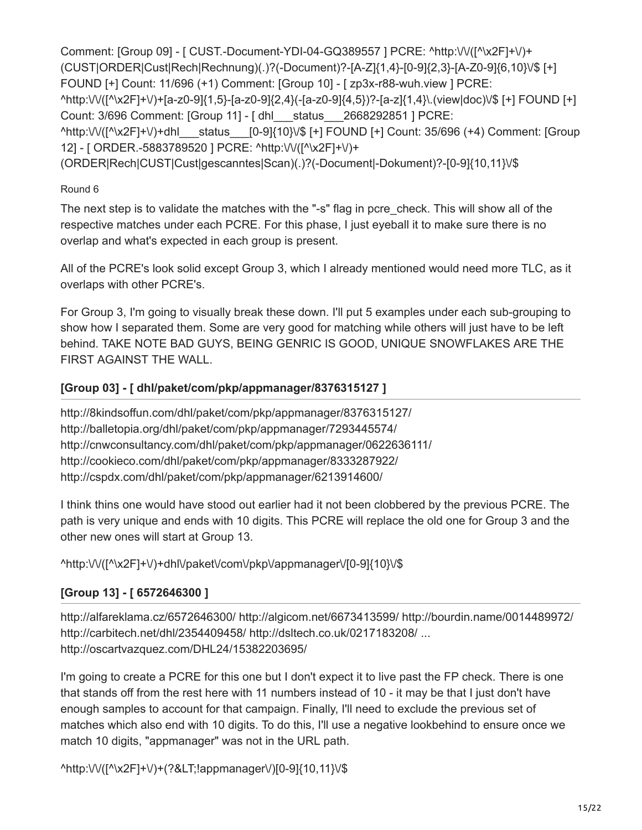Comment: [Group 09] - [ CUST.-Document-YDI-04-GQ389557 ] PCRE: ^http:\/\/([^\x2F]+\/)+ (CUST|ORDER|Cust|Rech|Rechnung)(.)?(-Document)?-[A-Z]{1,4}-[0-9]{2,3}-[A-Z0-9]{6,10}\/\$ [+] FOUND [+] Count: 11/696 (+1) Comment: [Group 10] - [ zp3x-r88-wuh.view ] PCRE: ^http:\/\/([^\x2F]+\/)+[a-z0-9]{1,5}-[a-z0-9]{2,4}(-[a-z0-9]{4,5})?-[a-z]{1,4}\.(view|doc)\/\$ [+] FOUND [+] Count: 3/696 Comment: [Group 11] - [ dhl\_\_\_status\_\_\_2668292851 ] PCRE: ^http:\/\/([^\x2F]+\/)+dhl\_\_\_status\_\_\_[0-9]{10}\/\$ [+] FOUND [+] Count: 35/696 (+4) Comment: [Group 12] - [ ORDER.-5883789520 ] PCRE: ^http:\/\/([^\x2F]+\/)+ (ORDER|Rech|CUST|Cust|gescanntes|Scan)(.)?(-Document|-Dokument)?-[0-9]{10,11}\/\$

#### Round 6

The next step is to validate the matches with the "-s" flag in pcre check. This will show all of the respective matches under each PCRE. For this phase, I just eyeball it to make sure there is no overlap and what's expected in each group is present.

All of the PCRE's look solid except Group 3, which I already mentioned would need more TLC, as it overlaps with other PCRE's.

For Group 3, I'm going to visually break these down. I'll put 5 examples under each sub-grouping to show how I separated them. Some are very good for matching while others will just have to be left behind. TAKE NOTE BAD GUYS, BEING GENRIC IS GOOD, UNIQUE SNOWFLAKES ARE THE FIRST AGAINST THE WALL.

### **[Group 03] - [ dhl/paket/com/pkp/appmanager/8376315127 ]**

http://8kindsoffun.com/dhl/paket/com/pkp/appmanager/8376315127/ http://balletopia.org/dhl/paket/com/pkp/appmanager/7293445574/ http://cnwconsultancy.com/dhl/paket/com/pkp/appmanager/0622636111/ http://cookieco.com/dhl/paket/com/pkp/appmanager/8333287922/ http://cspdx.com/dhl/paket/com/pkp/appmanager/6213914600/

I think thins one would have stood out earlier had it not been clobbered by the previous PCRE. The path is very unique and ends with 10 digits. This PCRE will replace the old one for Group 3 and the other new ones will start at Group 13.

^http:\/\/([^\x2F]+\/)+dhl\/paket\/com\/pkp\/appmanager\/[0-9]{10}\/\$

# **[Group 13] - [ 6572646300 ]**

http://alfareklama.cz/6572646300/ http://algicom.net/6673413599/ http://bourdin.name/0014489972/ http://carbitech.net/dhl/2354409458/ http://dsltech.co.uk/0217183208/ ... http://oscartvazquez.com/DHL24/15382203695/

I'm going to create a PCRE for this one but I don't expect it to live past the FP check. There is one that stands off from the rest here with 11 numbers instead of 10 - it may be that I just don't have enough samples to account for that campaign. Finally, I'll need to exclude the previous set of matches which also end with 10 digits. To do this, I'll use a negative lookbehind to ensure once we match 10 digits, "appmanager" was not in the URL path.

^http:\/\/([^\x2F]+\/)+(?<!appmanager\/)[0-9]{10,11}\/\$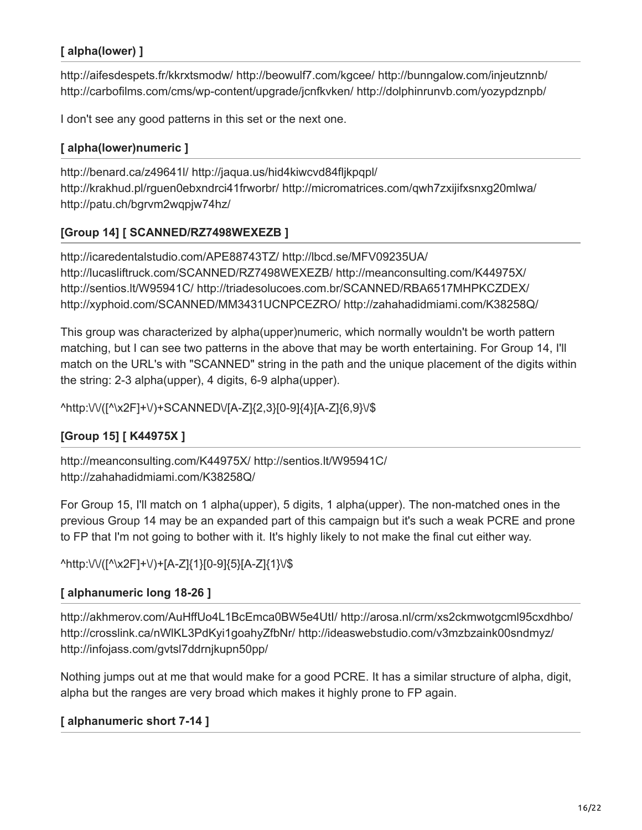# **[ alpha(lower) ]**

http://aifesdespets.fr/kkrxtsmodw/ http://beowulf7.com/kgcee/ http://bunngalow.com/injeutznnb/ http://carbofilms.com/cms/wp-content/upgrade/jcnfkvken/ http://dolphinrunvb.com/yozypdznpb/

I don't see any good patterns in this set or the next one.

### **[ alpha(lower)numeric ]**

http://benard.ca/z49641l/ http://jaqua.us/hid4kiwcvd84fljkpqpl/ http://krakhud.pl/rguen0ebxndrci41frworbr/ http://micromatrices.com/qwh7zxijifxsnxg20mlwa/ http://patu.ch/bgrvm2wqpjw74hz/

# **[Group 14] [ SCANNED/RZ7498WEXEZB ]**

http://icaredentalstudio.com/APE88743TZ/ http://lbcd.se/MFV09235UA/ http://lucasliftruck.com/SCANNED/RZ7498WEXEZB/ http://meanconsulting.com/K44975X/ http://sentios.lt/W95941C/ http://triadesolucoes.com.br/SCANNED/RBA6517MHPKCZDEX/ http://xyphoid.com/SCANNED/MM3431UCNPCEZRO/ http://zahahadidmiami.com/K38258Q/

This group was characterized by alpha(upper)numeric, which normally wouldn't be worth pattern matching, but I can see two patterns in the above that may be worth entertaining. For Group 14, I'll match on the URL's with "SCANNED" string in the path and the unique placement of the digits within the string: 2-3 alpha(upper), 4 digits, 6-9 alpha(upper).

^http:\/\/([^\x2F]+\/)+SCANNED\/[A-Z]{2,3}[0-9]{4}[A-Z]{6,9}\/\$

# **[Group 15] [ K44975X ]**

http://meanconsulting.com/K44975X/ http://sentios.lt/W95941C/ http://zahahadidmiami.com/K38258Q/

For Group 15, I'll match on 1 alpha(upper), 5 digits, 1 alpha(upper). The non-matched ones in the previous Group 14 may be an expanded part of this campaign but it's such a weak PCRE and prone to FP that I'm not going to bother with it. It's highly likely to not make the final cut either way.

### ^http:\/\/([^\x2F]+\/)+[A-Z]{1}[0-9]{5}[A-Z]{1}\/\$

### **[ alphanumeric long 18-26 ]**

http://akhmerov.com/AuHffUo4L1BcEmca0BW5e4UtI/ http://arosa.nl/crm/xs2ckmwotgcml95cxdhbo/ http://crosslink.ca/nWlKL3PdKyi1goahyZfbNr/ http://ideaswebstudio.com/v3mzbzaink00sndmyz/ http://infojass.com/gvtsl7ddrnjkupn50pp/

Nothing jumps out at me that would make for a good PCRE. It has a similar structure of alpha, digit, alpha but the ranges are very broad which makes it highly prone to FP again.

### **[ alphanumeric short 7-14 ]**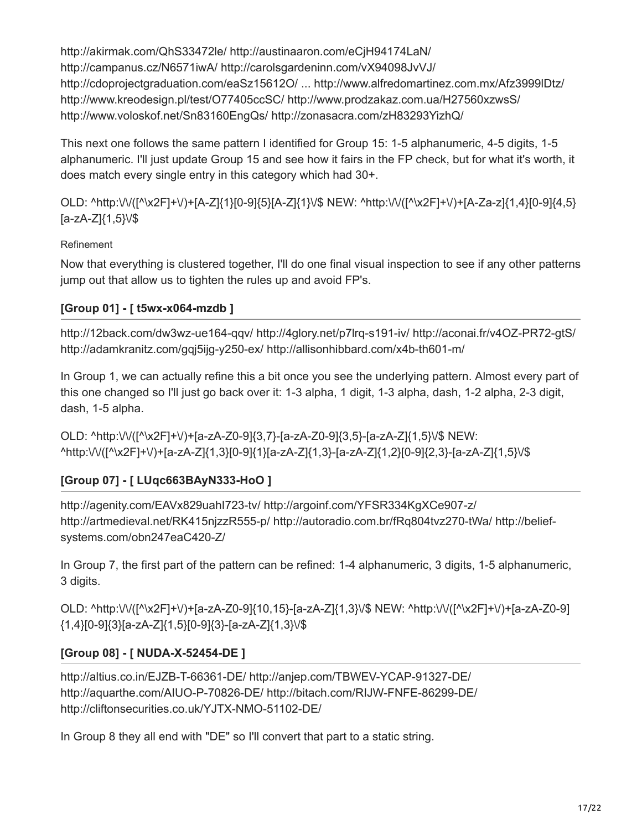http://akirmak.com/QhS33472le/ http://austinaaron.com/eCjH94174LaN/ http://campanus.cz/N6571iwA/ http://carolsgardeninn.com/vX94098JvVJ/ http://cdoprojectgraduation.com/eaSz15612O/ ... http://www.alfredomartinez.com.mx/Afz3999lDtz/ http://www.kreodesign.pl/test/O77405ccSC/ http://www.prodzakaz.com.ua/H27560xzwsS/ http://www.voloskof.net/Sn83160EngQs/ http://zonasacra.com/zH83293YizhQ/

This next one follows the same pattern I identified for Group 15: 1-5 alphanumeric, 4-5 digits, 1-5 alphanumeric. I'll just update Group 15 and see how it fairs in the FP check, but for what it's worth, it does match every single entry in this category which had 30+.

OLD: ^http:\/\/([^\x2F]+\/)+[A-Z]{1}[0-9]{5}[A-Z]{1}\/\$ NEW: ^http:\/\/([^\x2F]+\/)+[A-Za-z]{1,4}[0-9]{4,5}  $[a-zA-Z]\{1,5\}$ V\$

### Refinement

Now that everything is clustered together, I'll do one final visual inspection to see if any other patterns jump out that allow us to tighten the rules up and avoid FP's.

### **[Group 01] - [ t5wx-x064-mzdb ]**

http://12back.com/dw3wz-ue164-qqv/ http://4glory.net/p7lrq-s191-iv/ http://aconai.fr/v4OZ-PR72-gtS/ http://adamkranitz.com/gqj5ijg-y250-ex/ http://allisonhibbard.com/x4b-th601-m/

In Group 1, we can actually refine this a bit once you see the underlying pattern. Almost every part of this one changed so I'll just go back over it: 1-3 alpha, 1 digit, 1-3 alpha, dash, 1-2 alpha, 2-3 digit, dash, 1-5 alpha.

OLD: ^http:\/\/([^\x2F]+\/)+[a-zA-Z0-9]{3,7}-[a-zA-Z0-9]{3,5}-[a-zA-Z]{1,5}\/\$ NEW: ^http:\/\/([^\x2F]+\/)+[a-zA-Z]{1,3}[0-9]{1}[a-zA-Z]{1,3}-[a-zA-Z]{1,2}[0-9]{2,3}-[a-zA-Z]{1,5}\/\$

# **[Group 07] - [ LUqc663BAyN333-HoO ]**

http://agenity.com/EAVx829uahI723-tv/ http://argoinf.com/YFSR334KgXCe907-z/ http://artmedieval.net/RK415njzzR555-p/ http://autoradio.com.br/fRq804tvz270-tWa/ http://beliefsystems.com/obn247eaC420-Z/

In Group 7, the first part of the pattern can be refined: 1-4 alphanumeric, 3 digits, 1-5 alphanumeric, 3 digits.

OLD: ^http:\/\/([^\x2F]+\/)+[a-zA-Z0-9]{10,15}-[a-zA-Z]{1,3}\/\$ NEW: ^http:\/\/([^\x2F]+\/)+[a-zA-Z0-9] {1,4}[0-9]{3}[a-zA-Z]{1,5}[0-9]{3}-[a-zA-Z]{1,3}\/\$

### **[Group 08] - [ NUDA-X-52454-DE ]**

http://altius.co.in/EJZB-T-66361-DE/ http://anjep.com/TBWEV-YCAP-91327-DE/ http://aquarthe.com/AIUO-P-70826-DE/ http://bitach.com/RIJW-FNFE-86299-DE/ http://cliftonsecurities.co.uk/YJTX-NMO-51102-DE/

In Group 8 they all end with "DE" so I'll convert that part to a static string.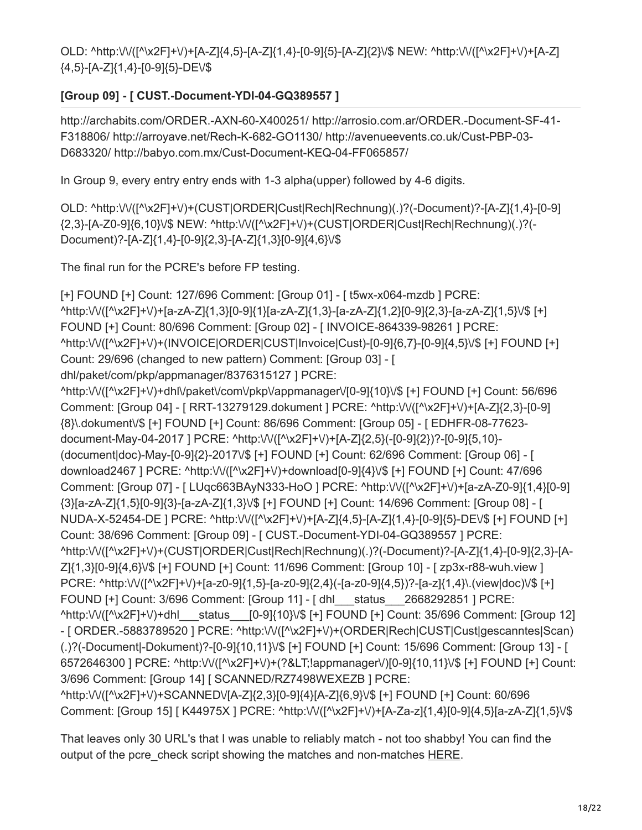OLD: ^http:\/\/([^\x2F]+\/)+[A-Z]{4,5}-[A-Z]{1,4}-[0-9]{5}-[A-Z]{2}\/\$ NEW: ^http:\/\/([^\x2F]+\/)+[A-Z] {4,5}-[A-Z]{1,4}-[0-9]{5}-DE\/\$

### **[Group 09] - [ CUST.-Document-YDI-04-GQ389557 ]**

http://archabits.com/ORDER.-AXN-60-X400251/ http://arrosio.com.ar/ORDER.-Document-SF-41- F318806/ http://arroyave.net/Rech-K-682-GO1130/ http://avenueevents.co.uk/Cust-PBP-03- D683320/ http://babyo.com.mx/Cust-Document-KEQ-04-FF065857/

In Group 9, every entry entry ends with 1-3 alpha(upper) followed by 4-6 digits.

OLD: ^http:\/\/([^\x2F]+\/)+(CUST|ORDER|Cust|Rech|Rechnung)(.)?(-Document)?-[A-Z]{1,4}-[0-9] {2,3}-[A-Z0-9]{6,10}\/\$ NEW: ^http:\/\/([^\x2F]+\/)+(CUST|ORDER|Cust|Rech|Rechnung)(.)?(- Document)?-[A-Z]{1,4}-[0-9]{2,3}-[A-Z]{1,3}[0-9]{4,6}\/\$

The final run for the PCRE's before FP testing.

[+] FOUND [+] Count: 127/696 Comment: [Group 01] - [ t5wx-x064-mzdb ] PCRE: ^http:\/\/([^\x2F]+\/)+[a-zA-Z]{1,3}[0-9]{1}[a-zA-Z]{1,3}-[a-zA-Z]{1,2}[0-9]{2,3}-[a-zA-Z]{1,5}\/\$ [+] FOUND [+] Count: 80/696 Comment: [Group 02] - [ INVOICE-864339-98261 ] PCRE: ^http:\/\/([^\x2F]+\/)+(INVOICE|ORDER|CUST|Invoice|Cust)-[0-9]{6,7}-[0-9]{4,5}\/\$ [+] FOUND [+] Count: 29/696 (changed to new pattern) Comment: [Group 03] - [ dhl/paket/com/pkp/appmanager/8376315127 ] PCRE:

^http:\/\/([^\x2F]+\/)+dhl\/paket\/com\/pkp\/appmanager\/[0-9]{10}\/\$ [+] FOUND [+] Count: 56/696 Comment: [Group 04] - [ RRT-13279129.dokument ] PCRE: ^http:\/\/([^\x2F]+\/)+[A-Z]{2,3}-[0-9] {8}\.dokument\/\$ [+] FOUND [+] Count: 86/696 Comment: [Group 05] - [ EDHFR-08-77623 document-May-04-2017 ] PCRE: ^http:\/\/([^\x2F]+\/)+[A-Z]{2,5}(-[0-9]{2})?-[0-9]{5,10}- (document|doc)-May-[0-9]{2}-2017\/\$ [+] FOUND [+] Count: 62/696 Comment: [Group 06] - [ download2467 ] PCRE: ^http:\/\/([^\x2F]+\/)+download[0-9]{4}\/\$ [+] FOUND [+] Count: 47/696 Comment: [Group 07] - [ LUqc663BAyN333-HoO ] PCRE: ^http:\/\/([^\x2F]+\/)+[a-zA-Z0-9]{1,4}[0-9] {3}[a-zA-Z]{1,5}[0-9]{3}-[a-zA-Z]{1,3}\/\$ [+] FOUND [+] Count: 14/696 Comment: [Group 08] - [ NUDA-X-52454-DE ] PCRE: ^http:\/\/([^\x2F]+\/)+[A-Z]{4,5}-[A-Z]{1,4}-[0-9]{5}-DE\/\$ [+] FOUND [+] Count: 38/696 Comment: [Group 09] - [ CUST.-Document-YDI-04-GQ389557 ] PCRE: ^http:\/\/([^\x2F]+\/)+(CUST|ORDER|Cust|Rech|Rechnung)(.)?(-Document)?-[A-Z]{1,4}-[0-9]{2,3}-[A-Z]{1,3}[0-9]{4,6}\/\$ [+] FOUND [+] Count: 11/696 Comment: [Group 10] - [ zp3x-r88-wuh.view ] PCRE: ^http:\/\/([^\x2F]+\/)+[a-z0-9]{1,5}-[a-z0-9]{2,4}(-[a-z0-9]{4,5})?-[a-z]{1,4}\.(view|doc)\/\$ [+] FOUND [+] Count: 3/696 Comment: [Group 11] - [ dhl\_\_\_status\_\_\_2668292851 ] PCRE: ^http:\/\/([^\x2F]+\/)+dhl\_\_\_status\_\_\_[0-9]{10}\/\$ [+] FOUND [+] Count: 35/696 Comment: [Group 12] - [ ORDER.-5883789520 ] PCRE: ^http:\/\/([^\x2F]+\/)+(ORDER|Rech|CUST|Cust|gescanntes|Scan) (.)?(-Document|-Dokument)?-[0-9]{10,11}\/\$ [+] FOUND [+] Count: 15/696 Comment: [Group 13] - [ 6572646300 ] PCRE: ^http:\/\/([^\x2F]+\/)+(?<!appmanager\/)[0-9]{10,11}\/\$ [+] FOUND [+] Count: 3/696 Comment: [Group 14] [ SCANNED/RZ7498WEXEZB ] PCRE: ^http:\/\/([^\x2F]+\/)+SCANNED\/[A-Z]{2,3}[0-9]{4}[A-Z]{6,9}\/\$ [+] FOUND [+] Count: 60/696 Comment: [Group 15] [ K44975X ] PCRE: ^http:\/\/([^\x2F]+\/)+[A-Za-z]{1,4}[0-9]{4,5}[a-zA-Z]{1,5}\/\$

That leaves only 30 URL's that I was unable to reliably match - not too shabby! You can find the output of the pcre check script showing the matches and non-matches [HERE](https://github.com/karttoon/pcre_check/blob/master/emotet_v6_matches).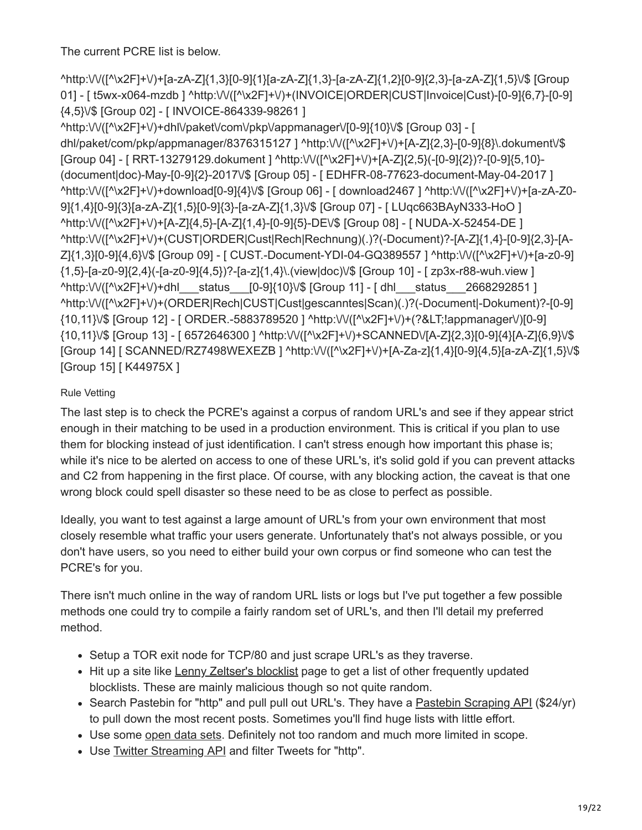The current PCRE list is below.

^http:\/\/([^\x2F]+\/)+[a-zA-Z]{1,3}[0-9]{1}[a-zA-Z]{1,3}-[a-zA-Z]{1,2}[0-9]{2,3}-[a-zA-Z]{1,5}\/\$ [Group 01] - [ t5wx-x064-mzdb ] ^http:\/\/([^\x2F]+\/)+(INVOICE|ORDER|CUST|Invoice|Cust)-[0-9]{6,7}-[0-9] {4,5}\/\$ [Group 02] - [ INVOICE-864339-98261 ]

^http:\/\/([^\x2F]+\/)+dhl\/paket\/com\/pkp\/appmanager\/[0-9]{10}\/\$ [Group 03] - [ dhl/paket/com/pkp/appmanager/8376315127 ] ^http:\/\/([^\x2F]+\/)+[A-Z]{2,3}-[0-9]{8}\.dokument\/\$ [Group 04] - [ RRT-13279129.dokument ] ^http:\/\/([^\x2F]+\/)+[A-Z]{2,5}(-[0-9]{2})?-[0-9]{5,10}- (document|doc)-May-[0-9]{2}-2017\/\$ [Group 05] - [ EDHFR-08-77623-document-May-04-2017 ] ^http:\/\/([^\x2F]+\/)+download[0-9]{4}\/\$ [Group 06] - [ download2467 ] ^http:\/\/([^\x2F]+\/)+[a-zA-Z0- 9]{1,4}[0-9]{3}[a-zA-Z]{1,5}[0-9]{3}-[a-zA-Z]{1,3}\/\$ [Group 07] - [ LUqc663BAyN333-HoO ] ^http:\/\/([^\x2F]+\/)+[A-Z]{4,5}-[A-Z]{1,4}-[0-9]{5}-DE\/\$ [Group 08] - [ NUDA-X-52454-DE ] ^http:\/\/([^\x2F]+\/)+(CUST|ORDER|Cust|Rech|Rechnung)(.)?(-Document)?-[A-Z]{1,4}-[0-9]{2,3}-[A-Z]{1,3}[0-9]{4,6}\/\$ [Group 09] - [ CUST.-Document-YDI-04-GQ389557 ] ^http:\/\/([^\x2F]+\/)+[a-z0-9] {1,5}-[a-z0-9]{2,4}(-[a-z0-9]{4,5})?-[a-z]{1,4}\.(view|doc)\/\$ [Group 10] - [ zp3x-r88-wuh.view ] ^http:\/\/([^\x2F]+\/)+dhl status [0-9]{10}\/\$ [Group 11] - [ dhl status 2668292851 ] ^http:\/\/([^\x2F]+\/)+(ORDER|Rech|CUST|Cust|gescanntes|Scan)(.)?(-Document|-Dokument)?-[0-9] {10,11}\/\$ [Group 12] - [ ORDER.-5883789520 ] ^http:\/\/([^\x2F]+\/)+(?<!appmanager\/)[0-9] {10,11}\/\$ [Group 13] - [ 6572646300 ] ^http:\/\/([^\x2F]+\/)+SCANNED\/[A-Z]{2,3}[0-9]{4}[A-Z]{6,9}\/\$ [Group 14] [ SCANNED/RZ7498WEXEZB ] ^http:\/\/([^\x2F]+\/)+[A-Za-z]{1,4}[0-9]{4,5}[a-zA-Z]{1,5}\/\$ [Group 15] [ K44975X ]

### Rule Vetting

The last step is to check the PCRE's against a corpus of random URL's and see if they appear strict enough in their matching to be used in a production environment. This is critical if you plan to use them for blocking instead of just identification. I can't stress enough how important this phase is; while it's nice to be alerted on access to one of these URL's, it's solid gold if you can prevent attacks and C2 from happening in the first place. Of course, with any blocking action, the caveat is that one wrong block could spell disaster so these need to be as close to perfect as possible.

Ideally, you want to test against a large amount of URL's from your own environment that most closely resemble what traffic your users generate. Unfortunately that's not always possible, or you don't have users, so you need to either build your own corpus or find someone who can test the PCRE's for you.

There isn't much online in the way of random URL lists or logs but I've put together a few possible methods one could try to compile a fairly random set of URL's, and then I'll detail my preferred method.

- Setup a TOR exit node for TCP/80 and just scrape URL's as they traverse.
- Hit up a site like [Lenny Zeltser's blocklist](https://zeltser.com/malicious-ip-blocklists/) page to get a list of other frequently updated blocklists. These are mainly malicious though so not quite random.
- Search Pastebin for "http" and pull pull out URL's. They have a [Pastebin Scraping API](https://pastebin.com/api_scraping_faq) (\$24/yr) to pull down the most recent posts. Sometimes you'll find huge lists with little effort.
- Use some [open data sets](http://opensource.indeedeng.io/imhotep/docs/sample-data/). Definitely not too random and much more limited in scope.
- Use [Twitter Streaming API](https://dev.twitter.com/streaming/overview) and filter Tweets for "http".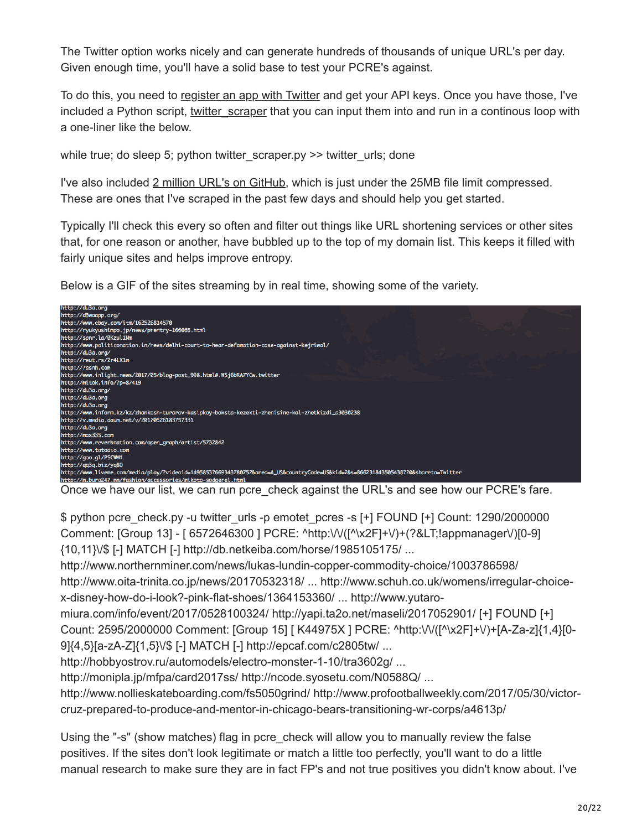The Twitter option works nicely and can generate hundreds of thousands of unique URL's per day. Given enough time, you'll have a solid base to test your PCRE's against.

To do this, you need to [register an app with Twitter](https://apps.twitter.com/) and get your API keys. Once you have those, I've included a Python script, twitter scraper that you can input them into and run in a continous loop with a one-liner like the below.

while true; do sleep 5; python twitter scraper.py  $\gg$  twitter urls; done

I've also included [2 million URL's on GitHub](https://github.com/karttoon/pcre_check/blob/master/twitter_urls.7z), which is just under the 25MB file limit compressed. These are ones that I've scraped in the past few days and should help you get started.

Typically I'll check this every so often and filter out things like URL shortening services or other sites that, for one reason or another, have bubbled up to the top of my domain list. This keeps it filled with fairly unique sites and helps improve entropy.

Below is a GIF of the sites streaming by in real time, showing some of the variety.



Once we have our list, we can run pcre check against the URL's and see how our PCRE's fare.

\$ python pcre\_check.py -u twitter\_urls -p emotet\_pcres -s [+] FOUND [+] Count: 1290/2000000 Comment: [Group 13] - [ 6572646300 ] PCRE: ^http:\/\/([^\x2F]+\/)+(?<!appmanager\/)[0-9] {10,11}\/\$ [-] MATCH [-] http://db.netkeiba.com/horse/1985105175/ ...

http://www.northernminer.com/news/lukas-lundin-copper-commodity-choice/1003786598/

http://www.oita-trinita.co.jp/news/20170532318/ ... http://www.schuh.co.uk/womens/irregular-choicex-disney-how-do-i-look?-pink-flat-shoes/1364153360/ ... http://www.yutaro-

miura.com/info/event/2017/0528100324/ http://yapi.ta2o.net/maseli/2017052901/ [+] FOUND [+] Count: 2595/2000000 Comment: [Group 15] [ K44975X ] PCRE: ^http:\/\/([^\x2F]+\/)+[A-Za-z]{1,4}[0- 9]{4,5}[a-zA-Z]{1,5}\/\$ [-] MATCH [-] http://epcaf.com/c2805tw/ ...

http://hobbyostrov.ru/automodels/electro-monster-1-10/tra3602g/ ...

http://monipla.jp/mfpa/card2017ss/ http://ncode.syosetu.com/N0588Q/ ...

http://www.nollieskateboarding.com/fs5050grind/ http://www.profootballweekly.com/2017/05/30/victorcruz-prepared-to-produce-and-mentor-in-chicago-bears-transitioning-wr-corps/a4613p/

Using the "-s" (show matches) flag in pcre\_check will allow you to manually review the false positives. If the sites don't look legitimate or match a little too perfectly, you'll want to do a little manual research to make sure they are in fact FP's and not true positives you didn't know about. I've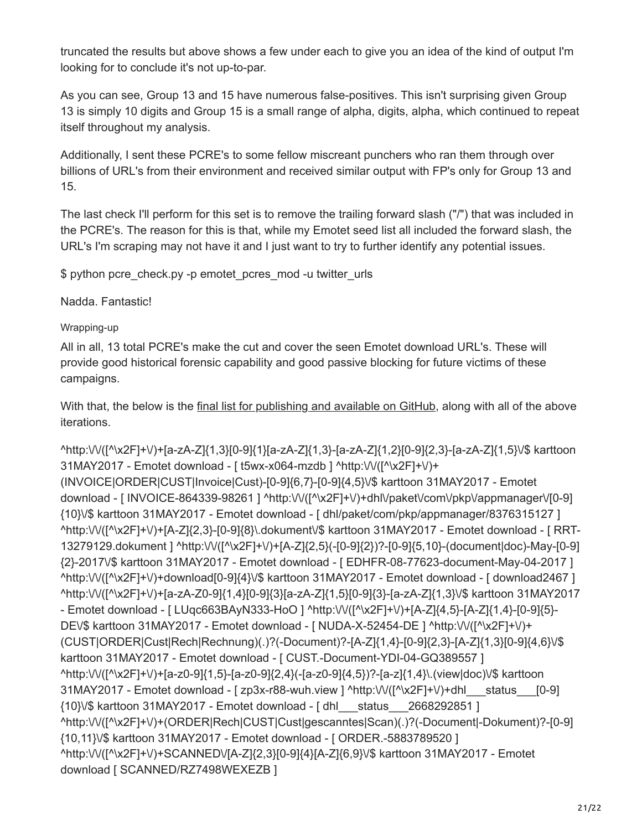truncated the results but above shows a few under each to give you an idea of the kind of output I'm looking for to conclude it's not up-to-par.

As you can see, Group 13 and 15 have numerous false-positives. This isn't surprising given Group 13 is simply 10 digits and Group 15 is a small range of alpha, digits, alpha, which continued to repeat itself throughout my analysis.

Additionally, I sent these PCRE's to some fellow miscreant punchers who ran them through over billions of URL's from their environment and received similar output with FP's only for Group 13 and 15.

The last check I'll perform for this set is to remove the trailing forward slash ("/") that was included in the PCRE's. The reason for this is that, while my Emotet seed list all included the forward slash, the URL's I'm scraping may not have it and I just want to try to further identify any potential issues.

\$ python pcre\_check.py -p emotet\_pcres\_mod -u twitter\_urls

Nadda. Fantastic!

#### Wrapping-up

All in all, 13 total PCRE's make the cut and cover the seen Emotet download URL's. These will provide good historical forensic capability and good passive blocking for future victims of these campaigns.

With that, the below is the [final list for publishing and available on GitHub](https://github.com/karttoon/pcre_check/blob/master/emotet_pcres), along with all of the above iterations.

^http:\/\/([^\x2F]+\/)+[a-zA-Z]{1,3}[0-9]{1}[a-zA-Z]{1,3}-[a-zA-Z]{1,2}[0-9]{2,3}-[a-zA-Z]{1,5}\/\$ karttoon 31MAY2017 - Emotet download - [ t5wx-x064-mzdb ] ^http:\/\/([^\x2F]+\/)+ (INVOICE|ORDER|CUST|Invoice|Cust)-[0-9]{6,7}-[0-9]{4,5}\/\$ karttoon 31MAY2017 - Emotet download - [INVOICE-864339-98261 ] ^http:\/\/([^\x2F]+\/)+dhl\/paket\/com\/pkp\/appmanager\/[0-9] {10}\/\$ karttoon 31MAY2017 - Emotet download - [ dhl/paket/com/pkp/appmanager/8376315127 ] ^http:\/\/([^\x2F]+\/)+[A-Z]{2,3}-[0-9]{8}\.dokument\/\$ karttoon 31MAY2017 - Emotet download - [ RRT-13279129.dokument ] ^http:\/\/([^\x2F]+\/)+[A-Z]{2,5}(-[0-9]{2})?-[0-9]{5,10}-(document|doc)-May-[0-9] {2}-2017\/\$ karttoon 31MAY2017 - Emotet download - [ EDHFR-08-77623-document-May-04-2017 ] ^http:\/\/([^\x2F]+\/)+download[0-9]{4}\/\$ karttoon 31MAY2017 - Emotet download - [ download2467 ] ^http:\/\/([^\x2F]+\/)+[a-zA-Z0-9]{1,4}[0-9]{3}[a-zA-Z]{1,5}[0-9]{3}-[a-zA-Z]{1,3}\/\$ karttoon 31MAY2017 - Emotet download - [ LUqc663BAyN333-HoO ] ^http:\/\/([^\x2F]+\/)+[A-Z]{4,5}-[A-Z]{1,4}-[0-9]{5}- DEV\$ karttoon 31MAY2017 - Emotet download - [ NUDA-X-52454-DE ] ^http:\/\/([^\x2F]+\/)+ (CUST|ORDER|Cust|Rech|Rechnung)(.)?(-Document)?-[A-Z]{1,4}-[0-9]{2,3}-[A-Z]{1,3}[0-9]{4,6}\/\$ karttoon 31MAY2017 - Emotet download - [ CUST.-Document-YDI-04-GQ389557 ] ^http:\/\/([^\x2F]+\/)+[a-z0-9]{1,5}-[a-z0-9]{2,4}(-[a-z0-9]{4,5})?-[a-z]{1,4}\.(view|doc)\/\$ karttoon 31MAY2017 - Emotet download - [ zp3x-r88-wuh.view ] ^http:\/\/([^\x2F]+\/)+dhl\_\_\_status\_\_\_[0-9] {10}\/\$ karttoon 31MAY2017 - Emotet download - [ dhl\_\_\_status\_\_\_2668292851 ] ^http:\/\/([^\x2F]+\/)+(ORDER|Rech|CUST|Cust|gescanntes|Scan)(.)?(-Document|-Dokument)?-[0-9] {10,11}\/\$ karttoon 31MAY2017 - Emotet download - [ ORDER.-5883789520 ] ^http:\/\/([^\x2F]+\/)+SCANNED\/[A-Z]{2,3}[0-9]{4}[A-Z]{6,9}\/\$ karttoon 31MAY2017 - Emotet download [ SCANNED/RZ7498WEXEZB ]